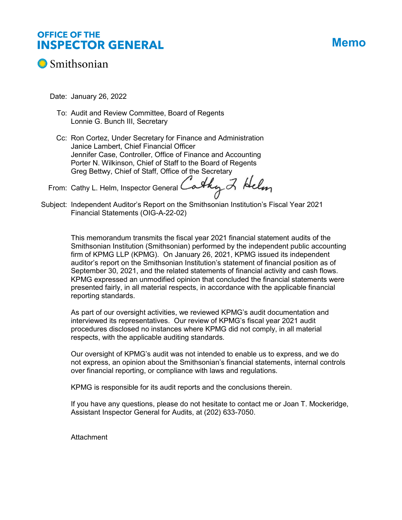# **OFFICE OF THE INSPECTOR GENERAL**

# **Memo**



Date: January 26, 2022

- To: Audit and Review Committee, Board of Regents Lonnie G. Bunch III, Secretary
- Cc: Ron Cortez, Under Secretary for Finance and Administration Janice Lambert, Chief Financial Officer Jennifer Case, Controller, Office of Finance and Accounting Porter N. Wilkinson, Chief of Staff to the Board of Regents Greg Bettwy, Chief of Staff, Office of the Secretary

From: Cathy L. Helm, Inspector General Cathy  $Z$  Helm

Subject: Independent Auditor's Report on the Smithsonian Institution's Fiscal Year 2021 Financial Statements (OIG-A-22-02)

> This memorandum transmits the fiscal year 2021 financial statement audits of the Smithsonian Institution (Smithsonian) performed by the independent public accounting firm of KPMG LLP (KPMG). On January 26, 2021, KPMG issued its independent auditor's report on the Smithsonian Institution's statement of financial position as of September 30, 2021, and the related statements of financial activity and cash flows. KPMG expressed an unmodified opinion that concluded the financial statements were presented fairly, in all material respects, in accordance with the applicable financial reporting standards.

As part of our oversight activities, we reviewed KPMG's audit documentation and interviewed its representatives. Our review of KPMG's fiscal year 2021 audit procedures disclosed no instances where KPMG did not comply, in all material respects, with the applicable auditing standards.

Our oversight of KPMG's audit was not intended to enable us to express, and we do not express, an opinion about the Smithsonian's financial statements, internal controls over financial reporting, or compliance with laws and regulations.

KPMG is responsible for its audit reports and the conclusions therein.

If you have any questions, please do not hesitate to contact me or Joan T. Mockeridge, Assistant Inspector General for Audits, at (202) 633-7050.

**Attachment**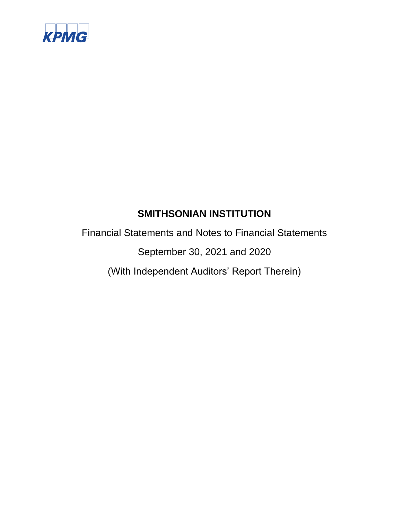

Financial Statements and Notes to Financial Statements

September 30, 2021 and 2020

(With Independent Auditors' Report Therein)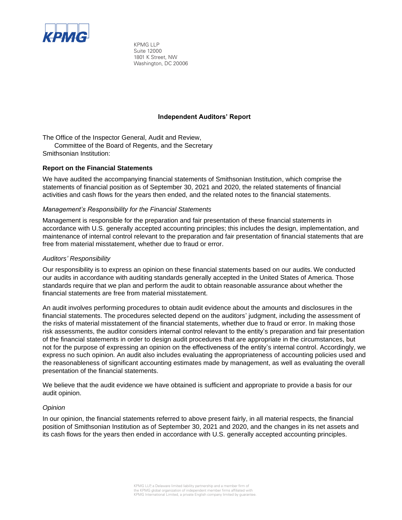

KPMG LLP Suite 12000 1801 K Street, NW Washington, DC 20006

# **Independent Auditors' Report**

The Office of the Inspector General, Audit and Review,

Committee of the Board of Regents, and the Secretary Smithsonian Institution:

# **Report on the Financial Statements**

We have audited the accompanying financial statements of Smithsonian Institution, which comprise the statements of financial position as of September 30, 2021 and 2020, the related statements of financial activities and cash flows for the years then ended, and the related notes to the financial statements.

# *Management's Responsibility for the Financial Statements*

Management is responsible for the preparation and fair presentation of these financial statements in accordance with U.S. generally accepted accounting principles; this includes the design, implementation, and maintenance of internal control relevant to the preparation and fair presentation of financial statements that are free from material misstatement, whether due to fraud or error.

# *Auditors' Responsibility*

Our responsibility is to express an opinion on these financial statements based on our audits. We conducted our audits in accordance with auditing standards generally accepted in the United States of America. Those standards require that we plan and perform the audit to obtain reasonable assurance about whether the financial statements are free from material misstatement.

An audit involves performing procedures to obtain audit evidence about the amounts and disclosures in the financial statements. The procedures selected depend on the auditors' judgment, including the assessment of the risks of material misstatement of the financial statements, whether due to fraud or error. In making those risk assessments, the auditor considers internal control relevant to the entity's preparation and fair presentation of the financial statements in order to design audit procedures that are appropriate in the circumstances, but not for the purpose of expressing an opinion on the effectiveness of the entity's internal control. Accordingly, we express no such opinion. An audit also includes evaluating the appropriateness of accounting policies used and the reasonableness of significant accounting estimates made by management, as well as evaluating the overall presentation of the financial statements.

We believe that the audit evidence we have obtained is sufficient and appropriate to provide a basis for our audit opinion.

# *Opinion*

In our opinion, the financial statements referred to above present fairly, in all material respects, the financial position of Smithsonian Institution as of September 30, 2021 and 2020, and the changes in its net assets and its cash flows for the years then ended in accordance with U.S. generally accepted accounting principles.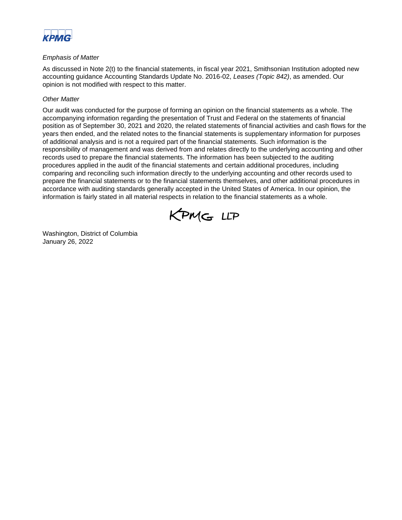

# *Emphasis of Matter*

As discussed in Note 2(t) to the financial statements, in fiscal year 2021, Smithsonian Institution adopted new accounting guidance Accounting Standards Update No. 2016-02, *Leases (Topic 842)*, as amended. Our opinion is not modified with respect to this matter.

# *Other Matter*

Our audit was conducted for the purpose of forming an opinion on the financial statements as a whole. The accompanying information regarding the presentation of Trust and Federal on the statements of financial position as of September 30, 2021 and 2020, the related statements of financial activities and cash flows for the years then ended, and the related notes to the financial statements is supplementary information for purposes of additional analysis and is not a required part of the financial statements. Such information is the responsibility of management and was derived from and relates directly to the underlying accounting and other records used to prepare the financial statements. The information has been subjected to the auditing procedures applied in the audit of the financial statements and certain additional procedures, including comparing and reconciling such information directly to the underlying accounting and other records used to prepare the financial statements or to the financial statements themselves, and other additional procedures in accordance with auditing standards generally accepted in the United States of America. In our opinion, the information is fairly stated in all material respects in relation to the financial statements as a whole.



Washington, District of Columbia January 26, 2022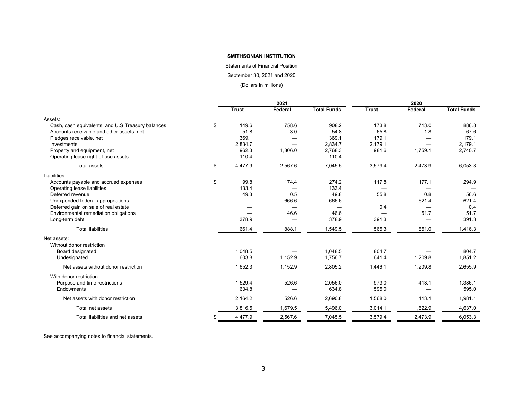#### Statements of Financial Position

September 30, 2021 and 2020

(Dollars in millions)

|                                                    | 2021          |                          |                    |                          | 2020    |                    |
|----------------------------------------------------|---------------|--------------------------|--------------------|--------------------------|---------|--------------------|
|                                                    | <b>Trust</b>  | Federal                  | <b>Total Funds</b> | <b>Trust</b>             | Federal | <b>Total Funds</b> |
| Assets:                                            |               |                          |                    |                          |         |                    |
| Cash, cash equivalents, and U.S. Treasury balances | \$<br>149.6   | 758.6                    | 908.2              | 173.8                    | 713.0   | 886.8              |
| Accounts receivable and other assets, net          | 51.8          | 3.0                      | 54.8               | 65.8                     | 1.8     | 67.6               |
| Pledges receivable, net                            | 369.1         |                          | 369.1              | 179.1                    |         | 179.1              |
| Investments                                        | 2,834.7       | $\overline{\phantom{0}}$ | 2,834.7            | 2,179.1                  |         | 2.179.1            |
| Property and equipment, net                        | 962.3         | 1,806.0                  | 2,768.3            | 981.6                    | 1,759.1 | 2,740.7            |
| Operating lease right-of-use assets                | 110.4         |                          | 110.4              |                          |         |                    |
| <b>Total assets</b>                                | \$<br>4,477.9 | 2,567.6                  | 7,045.5            | 3,579.4                  | 2,473.9 | 6,053.3            |
| Liabilities:                                       |               |                          |                    |                          |         |                    |
| Accounts payable and accrued expenses              | \$<br>99.8    | 174.4                    | 274.2              | 117.8                    | 177.1   | 294.9              |
| Operating lease liabilities                        | 133.4         | —                        | 133.4              |                          |         |                    |
| Deferred revenue                                   | 49.3          | 0.5                      | 49.8               | 55.8                     | 0.8     | 56.6               |
| Unexpended federal appropriations                  |               | 666.6                    | 666.6              | $\overline{\phantom{0}}$ | 621.4   | 621.4              |
| Deferred gain on sale of real estate               |               |                          |                    | 0.4                      |         | 0.4                |
| Environmental remediation obligations              |               | 46.6                     | 46.6               | —                        | 51.7    | 51.7               |
| Long-term debt                                     | 378.9         |                          | 378.9              | 391.3                    | --      | 391.3              |
| <b>Total liabilities</b>                           | 661.4         | 888.1                    | 1,549.5            | 565.3                    | 851.0   | 1,416.3            |
| Net assets:                                        |               |                          |                    |                          |         |                    |
| Without donor restriction                          |               |                          |                    |                          |         |                    |
| Board designated                                   | 1,048.5       |                          | 1,048.5            | 804.7                    |         | 804.7              |
| Undesignated                                       | 603.8         | 1,152.9                  | 1,756.7            | 641.4                    | 1,209.8 | 1,851.2            |
| Net assets without donor restriction               | 1,652.3       | 1,152.9                  | 2,805.2            | 1,446.1                  | 1,209.8 | 2,655.9            |
| With donor restriction                             |               |                          |                    |                          |         |                    |
| Purpose and time restrictions                      | 1,529.4       | 526.6                    | 2,056.0            | 973.0                    | 413.1   | 1,386.1            |
| Endowments                                         | 634.8         |                          | 634.8              | 595.0                    |         | 595.0              |
| Net assets with donor restriction                  | 2,164.2       | 526.6                    | 2,690.8            | 1,568.0                  | 413.1   | 1,981.1            |
| Total net assets                                   | 3,816.5       | 1,679.5                  | 5,496.0            | 3,014.1                  | 1,622.9 | 4,637.0            |
| Total liabilities and net assets                   | \$<br>4,477.9 | 2.567.6                  | 7.045.5            | 3.579.4                  | 2,473.9 | 6.053.3            |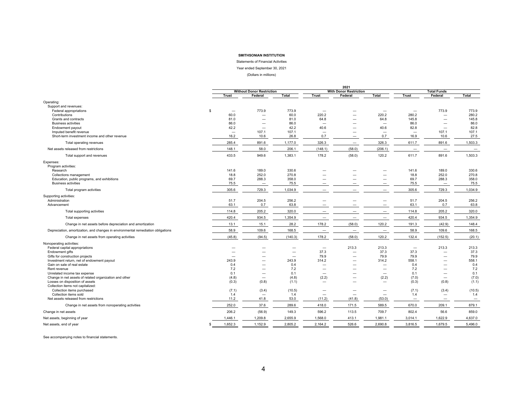Statements of Financial Activities

Year ended September 30, 2021

(Dollars in millions)

|                                                                                  |          | 2021                     |                                   |               |                                   |                               |                                   |                                   |                                   |                          |
|----------------------------------------------------------------------------------|----------|--------------------------|-----------------------------------|---------------|-----------------------------------|-------------------------------|-----------------------------------|-----------------------------------|-----------------------------------|--------------------------|
|                                                                                  |          |                          | <b>Without Donor Restriction</b>  |               |                                   | <b>With Donor Restriction</b> |                                   |                                   | <b>Total Funds</b>                |                          |
|                                                                                  |          | <b>Trust</b>             | Federal                           | Total         | <b>Trust</b>                      | Federal                       | Total                             | <b>Trust</b>                      | Federal                           | Total                    |
| Operating:                                                                       |          |                          |                                   |               |                                   |                               |                                   |                                   |                                   |                          |
| Support and revenues:                                                            | <b>S</b> | $\overline{\phantom{m}}$ | 773.9                             | 773.9         |                                   |                               |                                   |                                   | 773.9                             | 773.9                    |
| Federal appropriations<br>Contributions                                          |          | 60.0                     | $\overline{\phantom{0}}$          | 60.0          | $\overline{\phantom{0}}$<br>220.2 | -                             | $\overline{\phantom{0}}$<br>220.2 | $\overline{\phantom{m}}$<br>280.2 | $\overline{\phantom{0}}$          | 280.2                    |
| Grants and contracts                                                             |          | 81.0                     |                                   | 81.0          | 64.8                              | -                             | 64.8                              | 145.8                             |                                   | 145.8                    |
| <b>Business activities</b>                                                       |          | 86.0                     |                                   | 86.0          | $\overline{\phantom{0}}$          |                               | $\sim$                            | 86.0                              | $\overline{\phantom{0}}$          | 86.0                     |
| Endowment payout                                                                 |          | 42.2                     | $\overline{\phantom{a}}$          | 42.2          | 40.6                              |                               | 40.6                              | 82.8                              |                                   | 82.8                     |
| Imputed benefit revenue                                                          |          | $\overline{\phantom{m}}$ | 107.1                             | 107.1         |                                   |                               | $\overline{\phantom{0}}$          | $\overline{\phantom{m}}$          | 107.1                             | 107.1                    |
| Short-term investment income and other revenue                                   |          | 16.2                     | 10.6                              | 26.8          | 0.7                               |                               | 0.7                               | 16.9                              | 10.6                              | 27.5                     |
| Total operating revenues                                                         |          | 285.4                    | 891.6                             | 1,177.0       | 326.3                             | $\overline{\phantom{0}}$      | 326.3                             | 611.7                             | 891.6                             | 1,503.3                  |
| Net assets released from restrictions                                            |          | 148.1                    | 58.0                              | 206.1         | (148.1)                           | (58.0)                        | (206.1)                           | $\overline{\phantom{m}}$          |                                   | $\overline{\phantom{0}}$ |
| Total support and revenues                                                       |          | 433.5                    | 949.6                             | 1,383.1       | 178.2                             | (58.0)                        | 120.2                             | 611.7                             | 891.6                             | 1,503.3                  |
| Expenses:                                                                        |          |                          |                                   |               |                                   |                               |                                   |                                   |                                   |                          |
| Program activities:<br>Research                                                  |          | 141.6                    | 189.0                             | 330.6         |                                   |                               |                                   |                                   | 189.0                             |                          |
| Collections management                                                           |          | 18.8                     | 252.0                             | 270.8         |                                   |                               |                                   | 141.6<br>18.8                     | 252.0                             | 330.6<br>270.8           |
| Education, public programs, and exhibitions                                      |          | 69.7                     | 288.3                             | 358.0         |                                   |                               |                                   | 69.7                              | 288.3                             | 358.0                    |
| <b>Business activities</b>                                                       |          | 75.5                     | $\overline{\phantom{a}}$          | 75.5          | $\overline{\phantom{0}}$          |                               |                                   | 75.5                              | $\overline{\phantom{m}}$          | 75.5                     |
| Total program activities                                                         |          | 305.6                    | 729.3                             | 1,034.9       |                                   |                               |                                   | 305.6                             | 729.3                             | 1,034.9                  |
| Supporting activities:                                                           |          |                          |                                   |               |                                   |                               |                                   |                                   |                                   |                          |
| Administration                                                                   |          | 51.7                     | 204.5                             | 256.2         |                                   |                               | -                                 | 51.7                              | 204.5                             | 256.2                    |
| Advancement                                                                      |          | 63.1                     | 0.7                               | 63.8          |                                   |                               | $\overline{\phantom{0}}$          | 63.1                              | 0.7                               | 63.8                     |
| Total supporting activities                                                      |          | 114.8                    | 205.2                             | 320.0         |                                   |                               |                                   | 114.8                             | 205.2                             | 320.0                    |
| Total expenses                                                                   |          | 420.4                    | 934.5                             | 1,354.9       |                                   |                               | $\overline{\phantom{m}}$          | 420.4                             | 934.5                             | 1,354.9                  |
| Change in net assets before depreciation and amortization                        |          | 13.1                     | 15.1                              | 28.2          | 178.2                             | (58.0)                        | 120.2                             | 191.3                             | (42.9)                            | 148.4                    |
| Depreciation, amortization, and changes in environmental remediation obligations |          | 58.9                     | 109.6                             | 168.5         |                                   | $\overline{\phantom{0}}$      | $\overline{\phantom{0}}$          | 58.9                              | 109.6                             | 168.5                    |
| Change in net assets from operating activities                                   |          | (45.8)                   | (94.5)                            | (140.3)       | 178.2                             | (58.0)                        | 120.2                             | 132.4                             | (152.5)                           | (20.1)                   |
| Nonoperating activities:                                                         |          |                          |                                   |               |                                   |                               |                                   |                                   |                                   |                          |
| Federal capital appropriations                                                   |          | $\overline{\phantom{0}}$ |                                   |               | $\overline{\phantom{0}}$          | 213.3                         | 213.3                             | $\overline{\phantom{m}}$          | 213.3                             | 213.3                    |
| Endowment gifts<br>Gifts for construction projects                               |          | $\equiv$                 |                                   |               | 37.3<br>79.9                      | $\overline{\phantom{0}}$<br>- | 37.3<br>79.9                      | 37.3<br>79.9                      | $\overline{\phantom{0}}$          | 37.3<br>79.9             |
| Investment return, net of endowment payout                                       |          | 243.9                    | $\overline{\phantom{0}}$          | 243.9         | 314.2                             |                               | 314.2                             | 558.1                             |                                   | 558.1                    |
| Gain on sale of real estate                                                      |          | 0.4                      | $\overline{\phantom{0}}$          | 0.4           |                                   |                               |                                   | 0.4                               |                                   | 0.4                      |
| Rent revenue                                                                     |          | 7.2                      |                                   | 7.2           |                                   |                               |                                   | 7.2                               |                                   | 7.2                      |
| Unrelated income tax expense                                                     |          | 0.1                      | $\overline{\phantom{0}}$          | 0.1           | $\overline{\phantom{m}}$          |                               | $\overline{\phantom{m}}$          | 0.1                               | $\overline{\phantom{0}}$          | 0.1                      |
| Change in net assets of related organization and other                           |          | (4.8)                    | $\overline{\phantom{a}}$          | (4.8)         | (2.2)                             | $\overline{\phantom{0}}$      | (2.2)                             | (7.0)                             |                                   | (7.0)                    |
| Losses on disposition of assets                                                  |          | (0.3)                    | (0.8)                             | (1.1)         | $\overline{\phantom{0}}$          |                               |                                   | (0.3)                             | (0.8)                             | (1.1)                    |
| Collection items not capitalized:                                                |          |                          |                                   |               |                                   |                               |                                   |                                   |                                   |                          |
| Collection items purchased<br>Collection items sold                              |          | (7.1)<br>1.4             | (3.4)<br>$\overline{\phantom{a}}$ | (10.5)<br>1.4 |                                   | $\overline{\phantom{0}}$      | $\overline{\phantom{a}}$          | (7.1)<br>1.4                      | (3.4)<br>$\overline{\phantom{0}}$ | (10.5)<br>1.4            |
| Net assets released from restrictions                                            |          | 11.2                     | 41.8                              | 53.0          | (11.2)                            | (41.8)                        | (53.0)                            | $\overline{\phantom{a}}$          | $\overline{\phantom{0}}$          | $\overline{\phantom{0}}$ |
| Change in net assets from nonoperating activities                                |          | 252.0                    | 37.6                              | 289.6         | 418.0                             | 171.5                         | 589.5                             | 670.0                             | 209.1                             | 879.1                    |
| Change in net assets                                                             |          | 206.2                    | (56.9)                            | 149.3         | 596.2                             | 113.5                         | 709.7                             | 802.4                             | 56.6                              | 859.0                    |
| Net assets, beginning of year                                                    |          | 1,446.1                  | 1,209.8                           | 2,655.9       | 1,568.0                           | 413.1                         | 1,981.1                           | 3,014.1                           | 1,622.9                           | 4,637.0                  |
| Net assets, end of year                                                          |          | 1,652.3                  | 1,152.9                           | 2,805.2       | 2,164.2                           | 526.6                         | 2,690.8                           | 3,816.5                           | 1,679.5                           | 5,496.0                  |
|                                                                                  |          |                          |                                   |               |                                   |                               |                                   |                                   |                                   |                          |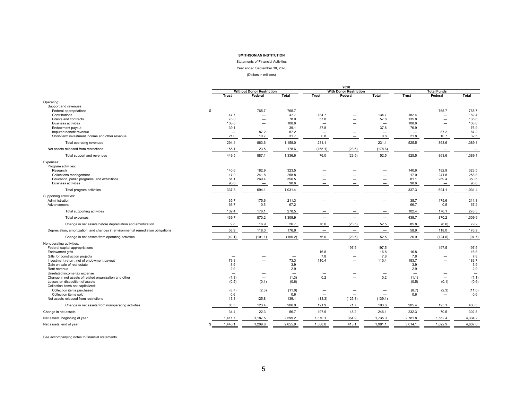Statements of Financial Activities

Year ended September 30, 2020

(Dollars in millions)

|                                                                                           |              | 2020                             |                                   |                |                                 |                               |                                  |                                  |                                   |                          |
|-------------------------------------------------------------------------------------------|--------------|----------------------------------|-----------------------------------|----------------|---------------------------------|-------------------------------|----------------------------------|----------------------------------|-----------------------------------|--------------------------|
|                                                                                           |              |                                  | <b>Without Donor Restriction</b>  |                |                                 | <b>With Donor Restriction</b> |                                  |                                  | <b>Total Funds</b>                |                          |
|                                                                                           | <b>Trust</b> |                                  | Federal                           | Total          | <b>Trust</b>                    | Federal                       | Total                            | <b>Trust</b>                     | Federal                           | Total                    |
| Operating:                                                                                |              |                                  |                                   |                |                                 |                               |                                  |                                  |                                   |                          |
| Support and revenues:                                                                     |              |                                  |                                   |                |                                 |                               |                                  |                                  |                                   |                          |
| Federal appropriations                                                                    | -\$          | $\overline{\phantom{0}}$         | 765.7                             | 765.7          |                                 |                               |                                  |                                  | 765.7                             | 765.7                    |
| Contributions                                                                             |              | 47.7                             |                                   | 47.7           | 134.7                           |                               | 134.7                            | 182.4                            |                                   | 182.4                    |
| Grants and contracts                                                                      |              | 78.0                             | $\overline{\phantom{0}}$          | 78.0           | 57.8                            | -                             | 57.8                             | 135.8                            | $\overline{\phantom{0}}$          | 135.8                    |
| <b>Business activities</b>                                                                |              | 108.6                            | $\overline{\phantom{0}}$          | 108.6          |                                 |                               | $\overline{\phantom{0}}$         | 108.6                            | $\overline{\phantom{0}}$          | 108.6                    |
| Endowment payout<br>Imputed benefit revenue                                               |              | 39.1<br>$\overline{\phantom{m}}$ | 87.2                              | 39.1<br>87.2   | 37.8                            |                               | 37.8<br>$\overline{\phantom{m}}$ | 76.9<br>$\overline{\phantom{a}}$ | 87.2                              | 76.9<br>87.2             |
| Short-term investment income and other revenue                                            |              | 21.0                             | 10.7                              | 31.7           | 0.8                             | $\overline{\phantom{0}}$      | 0.8                              | 21.8                             | 10.7                              | 32.5                     |
|                                                                                           |              | 294.4                            | 863.6                             | 1,158.0        | 231.1                           |                               | 231.1                            | 525.5                            | 863.6                             | 1,389.1                  |
| Total operating revenues                                                                  |              |                                  |                                   |                |                                 | $\overline{\phantom{0}}$      |                                  |                                  |                                   |                          |
| Net assets released from restrictions                                                     |              | 155.1                            | 23.5                              | 178.6          | (155.1)                         | (23.5)                        | (178.6)                          | $\overline{\phantom{m}}$         | $\overline{\phantom{a}}$          | $\qquad \qquad -$        |
| Total support and revenues                                                                |              | 449.5                            | 887.1                             | 1,336.6        | 76.0                            | (23.5)                        | 52.5                             | 525.5                            | 863.6                             | 1,389.1                  |
| Expenses:                                                                                 |              |                                  |                                   |                |                                 |                               |                                  |                                  |                                   |                          |
| Program activities:<br>Research                                                           |              | 140.6                            | 182.9                             | 323.5          |                                 |                               |                                  | 140.6                            | 182.9                             | 323.5                    |
| Collections management                                                                    |              | 17.0                             | 241.8                             | 258.8          |                                 |                               | $\overline{\phantom{0}}$         | 17.0                             | 241.8                             | 258.8                    |
| Education, public programs, and exhibitions                                               |              | 81.1                             | 269.4                             | 350.5          |                                 |                               | $\overline{\phantom{0}}$         | 81.1                             | 269.4                             | 350.5                    |
| <b>Business activities</b>                                                                |              | 98.6                             | $\overline{\phantom{a}}$          | 98.6           |                                 |                               |                                  | 98.6                             | $\overline{\phantom{0}}$          | 98.6                     |
| Total program activities                                                                  |              | 337.3                            | 694.1                             | 1,031.4        |                                 |                               | $\overline{\phantom{0}}$         | 337.3                            | 694.1                             | 1,031.4                  |
| Supporting activities:                                                                    |              |                                  |                                   |                |                                 |                               |                                  |                                  |                                   |                          |
| Administration                                                                            |              | 35.7                             | 175.6                             | 211.3          |                                 |                               | $\overline{\phantom{0}}$         | 35.7                             | 175.6                             | 211.3                    |
| Advancement                                                                               |              | 66.7                             | 0.5                               | 67.2           |                                 |                               |                                  | 66.7                             | 0.5                               | 67.2                     |
| Total supporting activities                                                               |              | 102.4                            | 176.1                             | 278.5          |                                 |                               |                                  | 102.4                            | 176.1                             | 278.5                    |
| Total expenses                                                                            |              | 439.7                            | 870.2                             | 1,309.9        | $\overline{\phantom{0}}$        | $\overline{\phantom{0}}$      | $\overline{\phantom{0}}$         | 439.7                            | 870.2                             | 1,309.9                  |
| Change in net assets before depreciation and amortization                                 |              | 9.8                              | 16.9                              | 26.7           | 76.0                            | (23.5)                        | 52.5                             | 85.8                             | (6.6)                             | 79.2                     |
| Depreciation, amortization, and changes in environmental remediation obligations          |              | 58.9                             | 118.0                             | 176.9          | $\overline{\phantom{m}}$        | $\qquad \qquad -$             | $\overline{\phantom{m}}$         | 58.9                             | 118.0                             | 176.9                    |
| Change in net assets from operating activities                                            |              | (49.1)                           | (101.1)                           | (150.2)        | 76.0                            | (23.5)                        | 52.5                             | 26.9                             | (124.6)                           | (97.7)                   |
| Nonoperating activities:                                                                  |              |                                  |                                   |                |                                 |                               |                                  |                                  |                                   |                          |
| Federal capital appropriations                                                            |              |                                  |                                   |                | $\overline{\phantom{0}}$        | 197.5                         | 197.5                            | $\overline{\phantom{m}}$         | 197.5                             | 197.5                    |
| Endowment gifts                                                                           |              |                                  |                                   |                | 16.8                            | $\overline{\phantom{0}}$      | 16.8                             | 16.8                             | $\overline{\phantom{0}}$          | 16.8                     |
| Gifts for construction projects                                                           |              |                                  | -                                 |                | 7.8                             | $\overline{\phantom{0}}$      | 7.8                              | 7.8                              |                                   | 7.8                      |
| Investment return, net of endowment payout                                                |              | 73.3                             |                                   | 73.3           | 110.4                           |                               | 110.4                            | 183.7                            |                                   | 183.7                    |
| Gain on sale of real estate                                                               |              | 3.9                              | $\overline{\phantom{0}}$          | 3.9            | $\overline{\phantom{0}}$        |                               |                                  | 3.9                              | $\overline{\phantom{0}}$          | 3.9                      |
| Rent revenue                                                                              |              | 2.9                              |                                   | 2.9            | $\overline{\phantom{0}}$        |                               |                                  | 2.9                              |                                   | 2.9                      |
| Unrelated income tax expense                                                              |              |                                  |                                   |                | $\overline{\phantom{0}}$        |                               |                                  |                                  |                                   | $\overline{\phantom{m}}$ |
| Change in net assets of related organization and other<br>Losses on disposition of assets |              | (1.3)<br>(0.5)                   | $\overline{\phantom{m}}$<br>(0.1) | (1.3)<br>(0.6) | 0.2<br>$\overline{\phantom{0}}$ | —<br>$\overline{\phantom{0}}$ | 0.2<br>$\overline{\phantom{m}}$  | (1.1)<br>(0.5)                   | $\overline{\phantom{m}}$<br>(0.1) | (1.1)<br>(0.6)           |
| Collection items not capitalized:                                                         |              |                                  |                                   |                |                                 |                               |                                  |                                  |                                   |                          |
| Collection items purchased                                                                |              | (8.7)                            | (2.3)                             | (11.0)         |                                 |                               | $\overline{\phantom{0}}$         | (8.7)                            | (2.3)                             | (11.0)                   |
| Collection items sold                                                                     |              | 0.6                              |                                   | 0.6            | $\overline{\phantom{0}}$        | $\overline{\phantom{0}}$      | $\overline{\phantom{0}}$         | 0.6                              |                                   | 0.6                      |
| Net assets released from restrictions                                                     |              | 13.3                             | 125.8                             | 139.1          | (13.3)                          | (125.8)                       | (139.1)                          | $\overline{\phantom{m}}$         | $\overline{\phantom{0}}$          | $\overline{\phantom{m}}$ |
| Change in net assets from nonoperating activities                                         |              | 83.5                             | 123.4                             | 206.9          | 121.9                           | 71.7                          | 193.6                            | 205.4                            | 195.1                             | 400.5                    |
| Change in net assets                                                                      |              | 34.4                             | 22.3                              | 56.7           | 197.9                           | 48.2                          | 246.1                            | 232.3                            | 70.5                              | 302.8                    |
| Net assets, beginning of year                                                             |              | 1,411.7                          | 1,187.5                           | 2,599.2        | 1,370.1                         | 364.9                         | 1,735.0                          | 2,781.8                          | 1,552.4                           | 4,334.2                  |
| Net assets, end of year                                                                   |              | 1,446.1                          | 1,209.8                           | 2,655.9        | 1,568.0                         | 413.1                         | 1,981.1                          | 3,014.1                          | 1,622.9                           | 4,637.0                  |
|                                                                                           |              |                                  |                                   |                |                                 |                               |                                  |                                  |                                   |                          |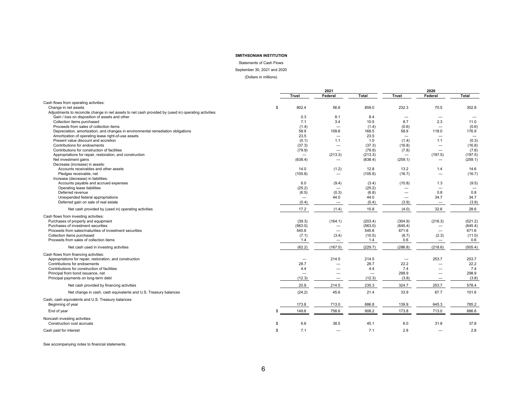Statements of Cash Flows

September 30, 2021 and 2020

(Dollars in millions)

|                                                                                                       |     |                          | 2021                     |                   |                          | 2020<br>Federal<br><b>Total</b> |                          |  |
|-------------------------------------------------------------------------------------------------------|-----|--------------------------|--------------------------|-------------------|--------------------------|---------------------------------|--------------------------|--|
|                                                                                                       |     | <b>Trust</b>             | Federal                  | Total             | <b>Trust</b>             |                                 |                          |  |
| Cash flows from operating activities:                                                                 |     |                          |                          |                   |                          |                                 |                          |  |
| Change in net assets                                                                                  | \$. | 802.4                    | 56.6                     | 859.0             | 232.3                    | 70.5                            | 302.8                    |  |
| Adjustments to reconcile change in net assets to net cash provided by (used in) operating activities: |     |                          |                          |                   |                          |                                 |                          |  |
| Gain / loss on disposition of assets and other                                                        |     | 0.3                      | 8.1                      | 8.4               |                          | $\overline{\phantom{0}}$        | $\overline{\phantom{a}}$ |  |
| Collection items purchased                                                                            |     | 7.1                      | 3.4                      | 10.5              | 8.7                      | 2.3                             | 11.0                     |  |
| Proceeds from sales of collection items                                                               |     | (1.4)                    | $\overline{\phantom{0}}$ | (1.4)             | (0.6)                    |                                 | (0.6)                    |  |
| Depreciation, amortization, and changes in environmental remediation obligations                      |     | 58.9                     | 109.6                    | 168.5             | 58.9                     | 118.0                           | 176.9                    |  |
| Amortization of operating lease right-of-use assets                                                   |     | 23.5                     |                          | 23.5              |                          |                                 | $\overline{\phantom{0}}$ |  |
| Present value discount and accretion                                                                  |     | (0.1)                    | 1.1                      | 1.0               | (1.4)                    | 1.1                             | (0.3)                    |  |
| Contributions for endowments                                                                          |     | (37.3)                   | $\overline{\phantom{0}}$ | (37.3)            | (16.8)                   | $\overline{\phantom{0}}$        | (16.8)                   |  |
| Contributions for construction of facilities                                                          |     | (79.9)                   | $\overline{\phantom{a}}$ | (79.9)            | (7.8)                    | $\overline{\phantom{0}}$        | (7.8)                    |  |
| Appropriations for repair, restoration, and construction                                              |     | -                        | (213.3)                  | (213.3)           | $\overline{\phantom{0}}$ | (197.5)                         | (197.5)                  |  |
| Net investment gains                                                                                  |     | (638.4)                  |                          | (638.4)           | (259.1)                  | $\overline{\phantom{0}}$        | (259.1)                  |  |
| Decrease (increase) in assets:                                                                        |     |                          |                          |                   |                          |                                 |                          |  |
| Accounts receivables and other assets                                                                 |     | 14.0                     | (1.2)                    | 12.8              | 13.2                     | 1.4                             | 14.6                     |  |
| Pledges receivable, net                                                                               |     | (105.8)                  | $\overline{\phantom{m}}$ | (105.8)           | (16.7)                   |                                 | (16.7)                   |  |
| Increase (decrease) in liabilities:                                                                   |     |                          |                          |                   |                          |                                 |                          |  |
| Accounts payable and accrued expenses                                                                 |     | 6.0                      | (9.4)                    | (3.4)             | (10.8)                   | 1.3                             | (9.5)                    |  |
| Operating lease liabilities                                                                           |     | (25.2)                   | $\overline{\phantom{0}}$ | (25.2)            | -                        | $\overline{\phantom{0}}$        |                          |  |
| Deferred revenue                                                                                      |     | (6.5)                    | (0.3)                    | (6.8)             | $\overline{\phantom{0}}$ | 0.8                             | 0.8                      |  |
| Unexpended federal appropriations                                                                     |     |                          | 44.0                     | 44.0              |                          | 34.7                            | 34.7                     |  |
| Deferred gain on sale of real estate                                                                  |     | (0.4)                    | $\overline{\phantom{m}}$ | (0.4)             | (3.9)                    |                                 | (3.9)                    |  |
| Net cash provided by (used in) operating activities                                                   |     | 17.2                     | (1.4)                    | 15.8              | (4.0)                    | 32.6                            | 28.6                     |  |
| Cash flows from investing activities:                                                                 |     |                          |                          |                   |                          |                                 |                          |  |
| Purchases of property and equipment                                                                   |     | (39.3)                   | (164.1)                  | (203.4)           | (304.9)                  | (216.3)                         | (521.2)                  |  |
| Purchases of investment securities                                                                    |     | (563.0)                  | $\qquad \qquad -$        | (563.0)           | (645.4)                  |                                 | (645.4)                  |  |
| Proceeds from sales/maturities of investment securities                                               |     | 545.8                    |                          | 545.8             | 671.6                    |                                 | 671.6                    |  |
| Collection items purchased                                                                            |     | (7.1)                    | (3.4)                    | (10.5)            | (8.7)                    | (2.3)                           | (11.0)                   |  |
| Proceeds from sales of collection items                                                               |     | 1.4                      | $\overline{\phantom{0}}$ | 1.4               | 0.6                      |                                 | 0.6                      |  |
| Net cash used in investing activities                                                                 |     | (62.2)                   | (167.5)                  | (229.7)           | (286.8)                  | (218.6)                         | (505.4)                  |  |
| Cash flows from financing activities:                                                                 |     |                          |                          |                   |                          |                                 |                          |  |
| Appropriations for repair, restoration, and construction                                              |     | $\overline{\phantom{0}}$ | 214.5                    | 214.5             |                          | 253.7                           | 253.7                    |  |
| Contributions for endowments                                                                          |     | 28.7                     | $\overline{\phantom{0}}$ | 28.7              | 22.2                     | -                               | 22.2                     |  |
| Contributions for construction of facilities                                                          |     | 4.4                      | -                        | 4.4               | 7.4                      | $\overline{\phantom{0}}$        | 7.4                      |  |
| Principal from bond issuance, net                                                                     |     |                          | -                        | $\qquad \qquad -$ | 298.9                    | -                               | 298.9                    |  |
| Principal payments on long-term debt                                                                  |     | (12.3)                   | $\qquad \qquad -$        | (12.3)            | (3.8)                    |                                 | (3.8)                    |  |
| Net cash provided by financing activities                                                             |     | 20.8                     | 214.5                    | 235.3             | 324.7                    | 253.7                           | 578.4                    |  |
| Net change in cash, cash equivalents and U.S. Treasury balances                                       |     | (24.2)                   | 45.6                     | 21.4              | 33.9                     | 67.7                            | 101.6                    |  |
| Cash, cash equivalents and U.S. Treasury balances:                                                    |     |                          |                          |                   |                          |                                 |                          |  |
| Beginning of year                                                                                     |     | 173.8                    | 713.0                    | 886.8             | 139.9                    | 645.3                           | 785.2                    |  |
| End of year                                                                                           | \$. | 149.6                    | 758.6                    | 908.2             | 173.8                    | 713.0                           | 886.8                    |  |
| Noncash investing activities:                                                                         |     |                          |                          |                   |                          |                                 |                          |  |
| Construction cost accruals                                                                            | \$  | 6.6                      | 38.5                     | 45.1              | 6.0                      | 31.8                            | 37.8                     |  |
| Cash paid for interest                                                                                | \$  | 7.1                      | -                        | 7.1               | 2.8                      |                                 | 2.8                      |  |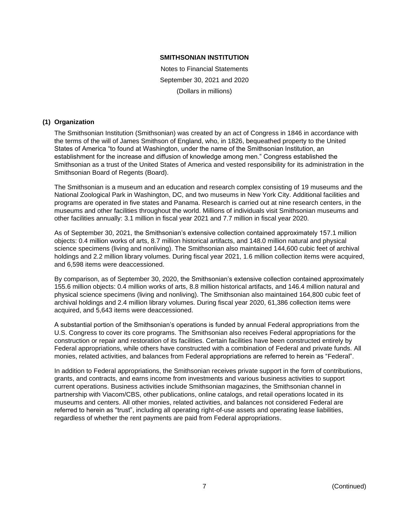Notes to Financial Statements September 30, 2021 and 2020 (Dollars in millions)

# **(1) Organization**

The Smithsonian Institution (Smithsonian) was created by an act of Congress in 1846 in accordance with the terms of the will of James Smithson of England, who, in 1826, bequeathed property to the United States of America "to found at Washington, under the name of the Smithsonian Institution, an establishment for the increase and diffusion of knowledge among men." Congress established the Smithsonian as a trust of the United States of America and vested responsibility for its administration in the Smithsonian Board of Regents (Board).

The Smithsonian is a museum and an education and research complex consisting of 19 museums and the National Zoological Park in Washington, DC, and two museums in New York City. Additional facilities and programs are operated in five states and Panama. Research is carried out at nine research centers, in the museums and other facilities throughout the world. Millions of individuals visit Smithsonian museums and other facilities annually: 3.1 million in fiscal year 2021 and 7.7 million in fiscal year 2020.

As of September 30, 2021, the Smithsonian's extensive collection contained approximately 157.1 million objects: 0.4 million works of arts, 8.7 million historical artifacts, and 148.0 million natural and physical science specimens (living and nonliving). The Smithsonian also maintained 144,600 cubic feet of archival holdings and 2.2 million library volumes. During fiscal year 2021, 1.6 million collection items were acquired, and 6,598 items were deaccessioned.

By comparison, as of September 30, 2020, the Smithsonian's extensive collection contained approximately 155.6 million objects: 0.4 million works of arts, 8.8 million historical artifacts, and 146.4 million natural and physical science specimens (living and nonliving). The Smithsonian also maintained 164,800 cubic feet of archival holdings and 2.4 million library volumes. During fiscal year 2020, 61,386 collection items were acquired, and 5,643 items were deaccessioned.

A substantial portion of the Smithsonian's operations is funded by annual Federal appropriations from the U.S. Congress to cover its core programs. The Smithsonian also receives Federal appropriations for the construction or repair and restoration of its facilities. Certain facilities have been constructed entirely by Federal appropriations, while others have constructed with a combination of Federal and private funds. All monies, related activities, and balances from Federal appropriations are referred to herein as "Federal".

In addition to Federal appropriations, the Smithsonian receives private support in the form of contributions, grants, and contracts, and earns income from investments and various business activities to support current operations. Business activities include Smithsonian magazines, the Smithsonian channel in partnership with Viacom/CBS, other publications, online catalogs, and retail operations located in its museums and centers. All other monies, related activities, and balances not considered Federal are referred to herein as "trust", including all operating right-of-use assets and operating lease liabilities, regardless of whether the rent payments are paid from Federal appropriations.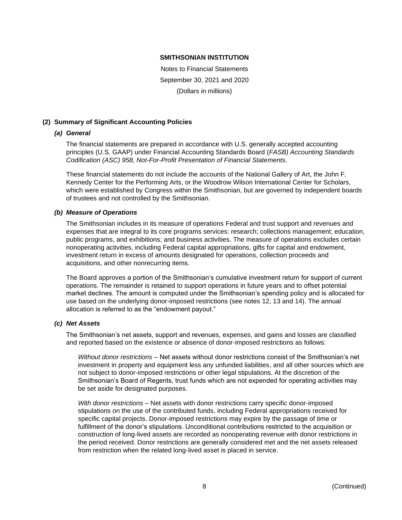Notes to Financial Statements September 30, 2021 and 2020 (Dollars in millions)

# **(2) Summary of Significant Accounting Policies**

# *(a) General*

The financial statements are prepared in accordance with U.S. generally accepted accounting principles (U.S. GAAP) under Financial Accounting Standards Board (*FASB) Accounting Standards Codification (ASC) 958, Not-For-Profit Presentation of Financial Statements.*

These financial statements do not include the accounts of the National Gallery of Art, the John F. Kennedy Center for the Performing Arts, or the Woodrow Wilson International Center for Scholars, which were established by Congress within the Smithsonian, but are governed by independent boards of trustees and not controlled by the Smithsonian.

# *(b) Measure of Operations*

The Smithsonian includes in its measure of operations Federal and trust support and revenues and expenses that are integral to its core programs services: research; collections management; education, public programs, and exhibitions; and business activities. The measure of operations excludes certain nonoperating activities, including Federal capital appropriations, gifts for capital and endowment, investment return in excess of amounts designated for operations, collection proceeds and acquisitions, and other nonrecurring items.

The Board approves a portion of the Smithsonian's cumulative investment return for support of current operations. The remainder is retained to support operations in future years and to offset potential market declines. The amount is computed under the Smithsonian's spending policy and is allocated for use based on the underlying donor-imposed restrictions (see notes 12, 13 and 14). The annual allocation is referred to as the "endowment payout."

# *(c) Net Assets*

The Smithsonian's net assets, support and revenues, expenses, and gains and losses are classified and reported based on the existence or absence of donor-imposed restrictions as follows:

*Without donor restrictions* – Net assets without donor restrictions consist of the Smithsonian's net investment in property and equipment less any unfunded liabilities, and all other sources which are not subject to donor-imposed restrictions or other legal stipulations. At the discretion of the Smithsonian's Board of Regents, trust funds which are not expended for operating activities may be set aside for designated purposes.

*With donor restrictions* – Net assets with donor restrictions carry specific donor-imposed stipulations on the use of the contributed funds, including Federal appropriations received for specific capital projects. Donor-imposed restrictions may expire by the passage of time or fulfillment of the donor's stipulations. Unconditional contributions restricted to the acquisition or construction of long-lived assets are recorded as nonoperating revenue with donor restrictions in the period received. Donor restrictions are generally considered met and the net assets released from restriction when the related long-lived asset is placed in service.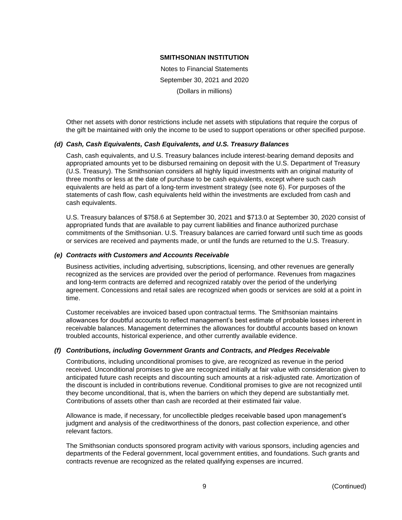Notes to Financial Statements September 30, 2021 and 2020 (Dollars in millions)

Other net assets with donor restrictions include net assets with stipulations that require the corpus of the gift be maintained with only the income to be used to support operations or other specified purpose.

# *(d) Cash, Cash Equivalents, Cash Equivalents, and U.S. Treasury Balances*

Cash, cash equivalents, and U.S. Treasury balances include interest-bearing demand deposits and appropriated amounts yet to be disbursed remaining on deposit with the U.S. Department of Treasury (U.S. Treasury). The Smithsonian considers all highly liquid investments with an original maturity of three months or less at the date of purchase to be cash equivalents, except where such cash equivalents are held as part of a long-term investment strategy (see note 6). For purposes of the statements of cash flow, cash equivalents held within the investments are excluded from cash and cash equivalents.

U.S. Treasury balances of \$758.6 at September 30, 2021 and \$713.0 at September 30, 2020 consist of appropriated funds that are available to pay current liabilities and finance authorized purchase commitments of the Smithsonian. U.S. Treasury balances are carried forward until such time as goods or services are received and payments made, or until the funds are returned to the U.S. Treasury.

# *(e) Contracts with Customers and Accounts Receivable*

Business activities, including advertising, subscriptions, licensing, and other revenues are generally recognized as the services are provided over the period of performance. Revenues from magazines and long-term contracts are deferred and recognized ratably over the period of the underlying agreement. Concessions and retail sales are recognized when goods or services are sold at a point in time.

Customer receivables are invoiced based upon contractual terms. The Smithsonian maintains allowances for doubtful accounts to reflect management's best estimate of probable losses inherent in receivable balances. Management determines the allowances for doubtful accounts based on known troubled accounts, historical experience, and other currently available evidence.

# *(f) Contributions, including Government Grants and Contracts, and Pledges Receivable*

Contributions, including unconditional promises to give, are recognized as revenue in the period received. Unconditional promises to give are recognized initially at fair value with consideration given to anticipated future cash receipts and discounting such amounts at a risk-adjusted rate. Amortization of the discount is included in contributions revenue. Conditional promises to give are not recognized until they become unconditional, that is, when the barriers on which they depend are substantially met. Contributions of assets other than cash are recorded at their estimated fair value.

Allowance is made, if necessary, for uncollectible pledges receivable based upon management's judgment and analysis of the creditworthiness of the donors, past collection experience, and other relevant factors.

The Smithsonian conducts sponsored program activity with various sponsors, including agencies and departments of the Federal government, local government entities, and foundations. Such grants and contracts revenue are recognized as the related qualifying expenses are incurred.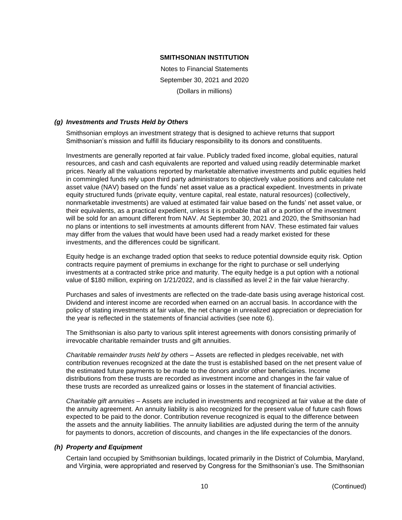Notes to Financial Statements September 30, 2021 and 2020 (Dollars in millions)

# *(g) Investments and Trusts Held by Others*

Smithsonian employs an investment strategy that is designed to achieve returns that support Smithsonian's mission and fulfill its fiduciary responsibility to its donors and constituents.

Investments are generally reported at fair value. Publicly traded fixed income, global equities, natural resources, and cash and cash equivalents are reported and valued using readily determinable market prices. Nearly all the valuations reported by marketable alternative investments and public equities held in commingled funds rely upon third party administrators to objectively value positions and calculate net asset value (NAV) based on the funds' net asset value as a practical expedient. Investments in private equity structured funds (private equity, venture capital, real estate, natural resources) (collectively, nonmarketable investments) are valued at estimated fair value based on the funds' net asset value, or their equivalents, as a practical expedient, unless it is probable that all or a portion of the investment will be sold for an amount different from NAV. At September 30, 2021 and 2020, the Smithsonian had no plans or intentions to sell investments at amounts different from NAV. These estimated fair values may differ from the values that would have been used had a ready market existed for these investments, and the differences could be significant.

Equity hedge is an exchange traded option that seeks to reduce potential downside equity risk. Option contracts require payment of premiums in exchange for the right to purchase or sell underlying investments at a contracted strike price and maturity. The equity hedge is a put option with a notional value of \$180 million, expiring on 1/21/2022, and is classified as level 2 in the fair value hierarchy.

Purchases and sales of investments are reflected on the trade-date basis using average historical cost. Dividend and interest income are recorded when earned on an accrual basis. In accordance with the policy of stating investments at fair value, the net change in unrealized appreciation or depreciation for the year is reflected in the statements of financial activities (see note 6).

The Smithsonian is also party to various split interest agreements with donors consisting primarily of irrevocable charitable remainder trusts and gift annuities.

*Charitable remainder trusts held by others* – Assets are reflected in pledges receivable, net with contribution revenues recognized at the date the trust is established based on the net present value of the estimated future payments to be made to the donors and/or other beneficiaries. Income distributions from these trusts are recorded as investment income and changes in the fair value of these trusts are recorded as unrealized gains or losses in the statement of financial activities.

*Charitable gift annuities –* Assets are included in investments and recognized at fair value at the date of the annuity agreement. An annuity liability is also recognized for the present value of future cash flows expected to be paid to the donor. Contribution revenue recognized is equal to the difference between the assets and the annuity liabilities. The annuity liabilities are adjusted during the term of the annuity for payments to donors, accretion of discounts, and changes in the life expectancies of the donors.

# *(h) Property and Equipment*

Certain land occupied by Smithsonian buildings, located primarily in the District of Columbia, Maryland, and Virginia, were appropriated and reserved by Congress for the Smithsonian's use. The Smithsonian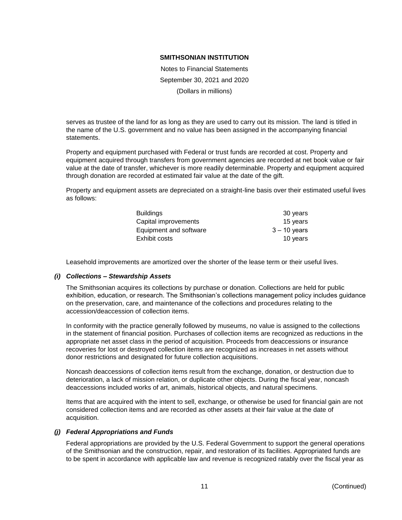Notes to Financial Statements September 30, 2021 and 2020 (Dollars in millions)

serves as trustee of the land for as long as they are used to carry out its mission. The land is titled in the name of the U.S. government and no value has been assigned in the accompanying financial statements.

Property and equipment purchased with Federal or trust funds are recorded at cost. Property and equipment acquired through transfers from government agencies are recorded at net book value or fair value at the date of transfer, whichever is more readily determinable. Property and equipment acquired through donation are recorded at estimated fair value at the date of the gift.

Property and equipment assets are depreciated on a straight-line basis over their estimated useful lives as follows:

| <b>Buildings</b>       | 30 years       |
|------------------------|----------------|
| Capital improvements   | 15 years       |
| Equipment and software | $3 - 10$ years |
| Exhibit costs          | 10 years       |

Leasehold improvements are amortized over the shorter of the lease term or their useful lives.

# *(i) Collections – Stewardship Assets*

The Smithsonian acquires its collections by purchase or donation. Collections are held for public exhibition, education, or research. The Smithsonian's collections management policy includes guidance on the preservation, care, and maintenance of the collections and procedures relating to the accession/deaccession of collection items.

In conformity with the practice generally followed by museums, no value is assigned to the collections in the statement of financial position. Purchases of collection items are recognized as reductions in the appropriate net asset class in the period of acquisition. Proceeds from deaccessions or insurance recoveries for lost or destroyed collection items are recognized as increases in net assets without donor restrictions and designated for future collection acquisitions.

Noncash deaccessions of collection items result from the exchange, donation, or destruction due to deterioration, a lack of mission relation, or duplicate other objects. During the fiscal year, noncash deaccessions included works of art, animals, historical objects, and natural specimens.

Items that are acquired with the intent to sell, exchange, or otherwise be used for financial gain are not considered collection items and are recorded as other assets at their fair value at the date of acquisition.

# *(j) Federal Appropriations and Funds*

Federal appropriations are provided by the U.S. Federal Government to support the general operations of the Smithsonian and the construction, repair, and restoration of its facilities. Appropriated funds are to be spent in accordance with applicable law and revenue is recognized ratably over the fiscal year as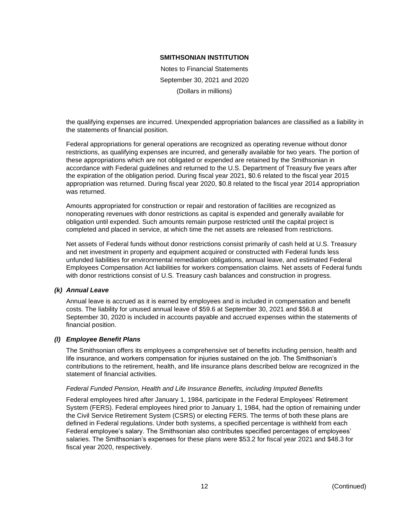Notes to Financial Statements September 30, 2021 and 2020 (Dollars in millions)

the qualifying expenses are incurred. Unexpended appropriation balances are classified as a liability in the statements of financial position.

Federal appropriations for general operations are recognized as operating revenue without donor restrictions, as qualifying expenses are incurred, and generally available for two years. The portion of these appropriations which are not obligated or expended are retained by the Smithsonian in accordance with Federal guidelines and returned to the U.S. Department of Treasury five years after the expiration of the obligation period. During fiscal year 2021, \$0.6 related to the fiscal year 2015 appropriation was returned. During fiscal year 2020, \$0.8 related to the fiscal year 2014 appropriation was returned.

Amounts appropriated for construction or repair and restoration of facilities are recognized as nonoperating revenues with donor restrictions as capital is expended and generally available for obligation until expended. Such amounts remain purpose restricted until the capital project is completed and placed in service, at which time the net assets are released from restrictions.

Net assets of Federal funds without donor restrictions consist primarily of cash held at U.S. Treasury and net investment in property and equipment acquired or constructed with Federal funds less unfunded liabilities for environmental remediation obligations, annual leave, and estimated Federal Employees Compensation Act liabilities for workers compensation claims. Net assets of Federal funds with donor restrictions consist of U.S. Treasury cash balances and construction in progress.

# *(k) Annual Leave*

Annual leave is accrued as it is earned by employees and is included in compensation and benefit costs. The liability for unused annual leave of \$59.6 at September 30, 2021 and \$56.8 at September 30, 2020 is included in accounts payable and accrued expenses within the statements of financial position.

# *(l) Employee Benefit Plans*

The Smithsonian offers its employees a comprehensive set of benefits including pension, health and life insurance, and workers compensation for injuries sustained on the job. The Smithsonian's contributions to the retirement, health, and life insurance plans described below are recognized in the statement of financial activities.

# *Federal Funded Pension, Health and Life Insurance Benefits, including Imputed Benefits*

Federal employees hired after January 1, 1984, participate in the Federal Employees' Retirement System (FERS). Federal employees hired prior to January 1, 1984, had the option of remaining under the Civil Service Retirement System (CSRS) or electing FERS. The terms of both these plans are defined in Federal regulations. Under both systems, a specified percentage is withheld from each Federal employee's salary. The Smithsonian also contributes specified percentages of employees' salaries. The Smithsonian's expenses for these plans were \$53.2 for fiscal year 2021 and \$48.3 for fiscal year 2020, respectively.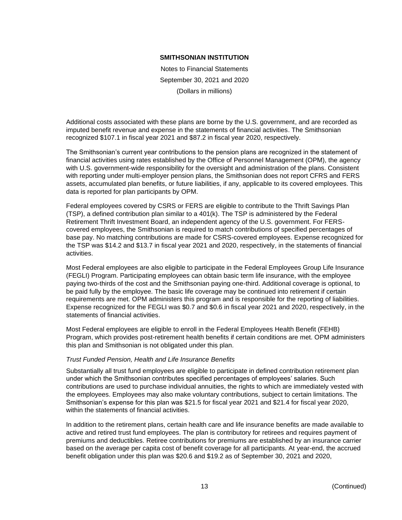Notes to Financial Statements September 30, 2021 and 2020 (Dollars in millions)

Additional costs associated with these plans are borne by the U.S. government, and are recorded as imputed benefit revenue and expense in the statements of financial activities. The Smithsonian recognized \$107.1 in fiscal year 2021 and \$87.2 in fiscal year 2020, respectively.

The Smithsonian's current year contributions to the pension plans are recognized in the statement of financial activities using rates established by the Office of Personnel Management (OPM), the agency with U.S. government-wide responsibility for the oversight and administration of the plans. Consistent with reporting under multi-employer pension plans, the Smithsonian does not report CFRS and FERS assets, accumulated plan benefits, or future liabilities, if any, applicable to its covered employees. This data is reported for plan participants by OPM.

Federal employees covered by CSRS or FERS are eligible to contribute to the Thrift Savings Plan (TSP), a defined contribution plan similar to a 401(k). The TSP is administered by the Federal Retirement Thrift Investment Board, an independent agency of the U.S. government. For FERScovered employees, the Smithsonian is required to match contributions of specified percentages of base pay. No matching contributions are made for CSRS-covered employees. Expense recognized for the TSP was \$14.2 and \$13.7 in fiscal year 2021 and 2020, respectively, in the statements of financial activities.

Most Federal employees are also eligible to participate in the Federal Employees Group Life Insurance (FEGLI) Program. Participating employees can obtain basic term life insurance, with the employee paying two-thirds of the cost and the Smithsonian paying one-third. Additional coverage is optional, to be paid fully by the employee. The basic life coverage may be continued into retirement if certain requirements are met. OPM administers this program and is responsible for the reporting of liabilities. Expense recognized for the FEGLI was \$0.7 and \$0.6 in fiscal year 2021 and 2020, respectively, in the statements of financial activities.

Most Federal employees are eligible to enroll in the Federal Employees Health Benefit (FEHB) Program, which provides post-retirement health benefits if certain conditions are met. OPM administers this plan and Smithsonian is not obligated under this plan.

# *Trust Funded Pension, Health and Life Insurance Benefits*

Substantially all trust fund employees are eligible to participate in defined contribution retirement plan under which the Smithsonian contributes specified percentages of employees' salaries. Such contributions are used to purchase individual annuities, the rights to which are immediately vested with the employees. Employees may also make voluntary contributions, subject to certain limitations. The Smithsonian's expense for this plan was \$21.5 for fiscal year 2021 and \$21.4 for fiscal year 2020, within the statements of financial activities.

In addition to the retirement plans, certain health care and life insurance benefits are made available to active and retired trust fund employees. The plan is contributory for retirees and requires payment of premiums and deductibles. Retiree contributions for premiums are established by an insurance carrier based on the average per capita cost of benefit coverage for all participants. At year-end, the accrued benefit obligation under this plan was \$20.6 and \$19.2 as of September 30, 2021 and 2020,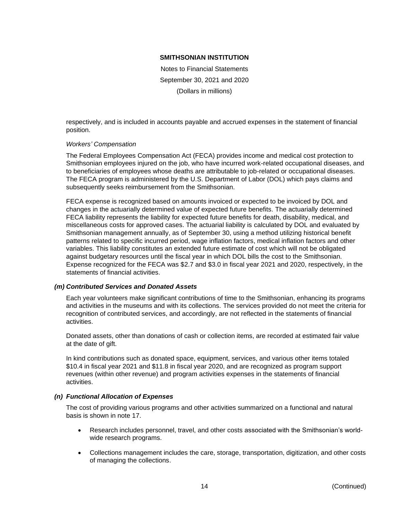Notes to Financial Statements September 30, 2021 and 2020 (Dollars in millions)

respectively, and is included in accounts payable and accrued expenses in the statement of financial position.

# *Workers' Compensation*

The Federal Employees Compensation Act (FECA) provides income and medical cost protection to Smithsonian employees injured on the job, who have incurred work-related occupational diseases, and to beneficiaries of employees whose deaths are attributable to job-related or occupational diseases. The FECA program is administered by the U.S. Department of Labor (DOL) which pays claims and subsequently seeks reimbursement from the Smithsonian.

FECA expense is recognized based on amounts invoiced or expected to be invoiced by DOL and changes in the actuarially determined value of expected future benefits. The actuarially determined FECA liability represents the liability for expected future benefits for death, disability, medical, and miscellaneous costs for approved cases. The actuarial liability is calculated by DOL and evaluated by Smithsonian management annually, as of September 30, using a method utilizing historical benefit patterns related to specific incurred period, wage inflation factors, medical inflation factors and other variables. This liability constitutes an extended future estimate of cost which will not be obligated against budgetary resources until the fiscal year in which DOL bills the cost to the Smithsonian. Expense recognized for the FECA was \$2.7 and \$3.0 in fiscal year 2021 and 2020, respectively, in the statements of financial activities.

# *(m) Contributed Services and Donated Assets*

Each year volunteers make significant contributions of time to the Smithsonian, enhancing its programs and activities in the museums and with its collections. The services provided do not meet the criteria for recognition of contributed services, and accordingly, are not reflected in the statements of financial activities.

Donated assets, other than donations of cash or collection items, are recorded at estimated fair value at the date of gift.

In kind contributions such as donated space, equipment, services, and various other items totaled \$10.4 in fiscal year 2021 and \$11.8 in fiscal year 2020, and are recognized as program support revenues (within other revenue) and program activities expenses in the statements of financial activities.

# *(n) Functional Allocation of Expenses*

The cost of providing various programs and other activities summarized on a functional and natural basis is shown in note 17.

- Research includes personnel, travel, and other costs associated with the Smithsonian's worldwide research programs.
- Collections management includes the care, storage, transportation, digitization, and other costs of managing the collections.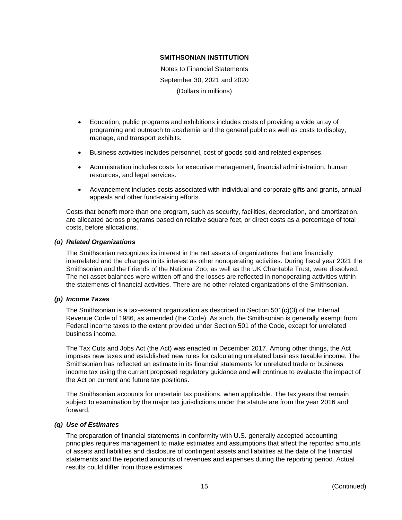Notes to Financial Statements September 30, 2021 and 2020 (Dollars in millions)

- Education, public programs and exhibitions includes costs of providing a wide array of programing and outreach to academia and the general public as well as costs to display, manage, and transport exhibits.
- Business activities includes personnel, cost of goods sold and related expenses.
- Administration includes costs for executive management, financial administration, human resources, and legal services.
- Advancement includes costs associated with individual and corporate gifts and grants, annual appeals and other fund-raising efforts.

Costs that benefit more than one program, such as security, facilities, depreciation, and amortization, are allocated across programs based on relative square feet, or direct costs as a percentage of total costs, before allocations.

# *(o) Related Organizations*

The Smithsonian recognizes its interest in the net assets of organizations that are financially interrelated and the changes in its interest as other nonoperating activities. During fiscal year 2021 the Smithsonian and the Friends of the National Zoo, as well as the UK Charitable Trust, were dissolved. The net asset balances were written-off and the losses are reflected in nonoperating activities within the statements of financial activities. There are no other related organizations of the Smithsonian.

# *(p) Income Taxes*

The Smithsonian is a tax-exempt organization as described in Section  $501(c)(3)$  of the Internal Revenue Code of 1986, as amended (the Code). As such, the Smithsonian is generally exempt from Federal income taxes to the extent provided under Section 501 of the Code, except for unrelated business income.

The Tax Cuts and Jobs Act (the Act) was enacted in December 2017. Among other things, the Act imposes new taxes and established new rules for calculating unrelated business taxable income. The Smithsonian has reflected an estimate in its financial statements for unrelated trade or business income tax using the current proposed regulatory guidance and will continue to evaluate the impact of the Act on current and future tax positions.

The Smithsonian accounts for uncertain tax positions, when applicable. The tax years that remain subject to examination by the major tax jurisdictions under the statute are from the year 2016 and forward.

# *(q) Use of Estimates*

The preparation of financial statements in conformity with U.S. generally accepted accounting principles requires management to make estimates and assumptions that affect the reported amounts of assets and liabilities and disclosure of contingent assets and liabilities at the date of the financial statements and the reported amounts of revenues and expenses during the reporting period. Actual results could differ from those estimates.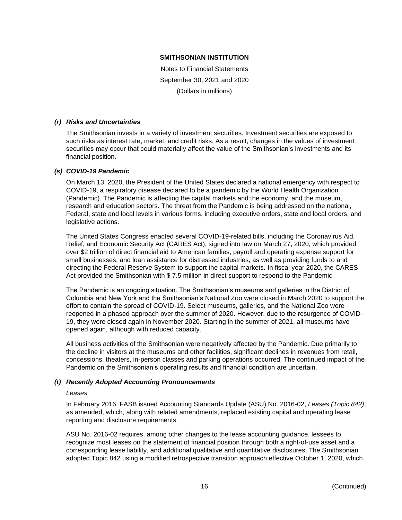Notes to Financial Statements September 30, 2021 and 2020 (Dollars in millions)

# *(r) Risks and Uncertainties*

The Smithsonian invests in a variety of investment securities. Investment securities are exposed to such risks as interest rate, market, and credit risks. As a result, changes in the values of investment securities may occur that could materially affect the value of the Smithsonian's investments and its financial position.

# *(s) COVID-19 Pandemic*

On March 13, 2020, the President of the United States declared a national emergency with respect to COVID-19, a respiratory disease declared to be a pandemic by the World Health Organization (Pandemic). The Pandemic is affecting the capital markets and the economy, and the museum, research and education sectors. The threat from the Pandemic is being addressed on the national, Federal, state and local levels in various forms, including executive orders, state and local orders, and legislative actions.

The United States Congress enacted several COVID-19-related bills, including the Coronavirus Aid, Relief, and Economic Security Act (CARES Act), signed into law on March 27, 2020, which provided over \$2 trillion of direct financial aid to American families, payroll and operating expense support for small businesses, and loan assistance for distressed industries, as well as providing funds to and directing the Federal Reserve System to support the capital markets. In fiscal year 2020, the CARES Act provided the Smithsonian with \$ 7.5 million in direct support to respond to the Pandemic.

The Pandemic is an ongoing situation. The Smithsonian's museums and galleries in the District of Columbia and New York and the Smithsonian's National Zoo were closed in March 2020 to support the effort to contain the spread of COVID-19. Select museums, galleries, and the National Zoo were reopened in a phased approach over the summer of 2020. However, due to the resurgence of COVID-19, they were closed again in November 2020. Starting in the summer of 2021, all museums have opened again, although with reduced capacity.

All business activities of the Smithsonian were negatively affected by the Pandemic. Due primarily to the decline in visitors at the museums and other facilities, significant declines in revenues from retail, concessions, theaters, in-person classes and parking operations occurred. The continued impact of the Pandemic on the Smithsonian's operating results and financial condition are uncertain.

# *(t) Recently Adopted Accounting Pronouncements*

#### *Leases*

In February 2016, FASB issued Accounting Standards Update (ASU) No. 2016-02, *Leases (Topic 842)*, as amended, which, along with related amendments, replaced existing capital and operating lease reporting and disclosure requirements.

ASU No. 2016-02 requires, among other changes to the lease accounting guidance, lessees to recognize most leases on the statement of financial position through both a right-of-use asset and a corresponding lease liability, and additional qualitative and quantitative disclosures. The Smithsonian adopted Topic 842 using a modified retrospective transition approach effective October 1, 2020, which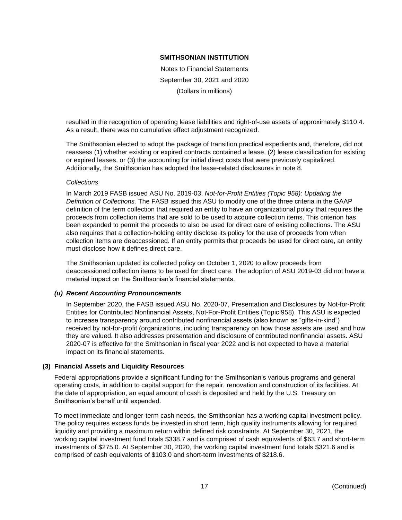Notes to Financial Statements September 30, 2021 and 2020 (Dollars in millions)

resulted in the recognition of operating lease liabilities and right-of-use assets of approximately \$110.4. As a result, there was no cumulative effect adjustment recognized.

The Smithsonian elected to adopt the package of transition practical expedients and, therefore, did not reassess (1) whether existing or expired contracts contained a lease, (2) lease classification for existing or expired leases, or (3) the accounting for initial direct costs that were previously capitalized. Additionally, the Smithsonian has adopted the lease-related disclosures in note 8.

# *Collections*

In March 2019 FASB issued ASU No. 2019-03, *Not-for-Profit Entities (Topic 958): Updating the Definition of Collections.* The FASB issued this ASU to modify one of the three criteria in the GAAP definition of the term collection that required an entity to have an organizational policy that requires the proceeds from collection items that are sold to be used to acquire collection items. This criterion has been expanded to permit the proceeds to also be used for direct care of existing collections. The ASU also requires that a collection-holding entity disclose its policy for the use of proceeds from when collection items are deaccessioned. If an entity permits that proceeds be used for direct care, an entity must disclose how it defines direct care.

The Smithsonian updated its collected policy on October 1, 2020 to allow proceeds from deaccessioned collection items to be used for direct care. The adoption of ASU 2019-03 did not have a material impact on the Smithsonian's financial statements.

# *(u) Recent Accounting Pronouncements*

In September 2020, the FASB issued ASU No. 2020-07, Presentation and Disclosures by Not-for-Profit Entities for Contributed Nonfinancial Assets, Not-For-Profit Entities (Topic 958). This ASU is expected to increase transparency around contributed nonfinancial assets (also known as "gifts-in-kind") received by not-for-profit (organizations, including transparency on how those assets are used and how they are valued. It also addresses presentation and disclosure of contributed nonfinancial assets. ASU 2020-07 is effective for the Smithsonian in fiscal year 2022 and is not expected to have a material impact on its financial statements.

# **(3) Financial Assets and Liquidity Resources**

Federal appropriations provide a significant funding for the Smithsonian's various programs and general operating costs, in addition to capital support for the repair, renovation and construction of its facilities. At the date of appropriation, an equal amount of cash is deposited and held by the U.S. Treasury on Smithsonian's behalf until expended.

To meet immediate and longer-term cash needs, the Smithsonian has a working capital investment policy. The policy requires excess funds be invested in short term, high quality instruments allowing for required liquidity and providing a maximum return within defined risk constraints. At September 30, 2021, the working capital investment fund totals \$338.7 and is comprised of cash equivalents of \$63.7 and short-term investments of \$275.0. At September 30, 2020, the working capital investment fund totals \$321.6 and is comprised of cash equivalents of \$103.0 and short-term investments of \$218.6.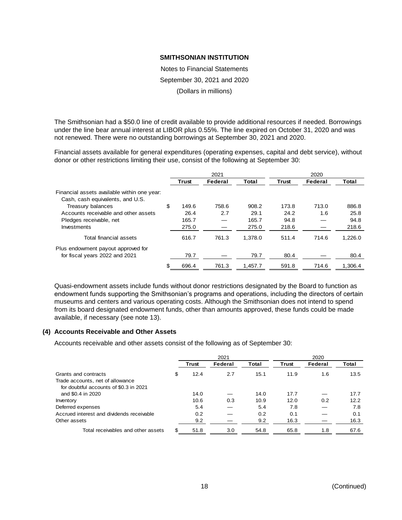Notes to Financial Statements September 30, 2021 and 2020 (Dollars in millions)

The Smithsonian had a \$50.0 line of credit available to provide additional resources if needed. Borrowings under the line bear annual interest at LIBOR plus 0.55%. The line expired on October 31, 2020 and was not renewed. There were no outstanding borrowings at September 30, 2021 and 2020.

Financial assets available for general expenditures (operating expenses, capital and debt service), without donor or other restrictions limiting their use, consist of the following at September 30:

|                                                                                 | 2021        |         |         | 2020         |         |         |  |
|---------------------------------------------------------------------------------|-------------|---------|---------|--------------|---------|---------|--|
|                                                                                 | Trust       | Federal | Total   | <b>Trust</b> | Federal | Total   |  |
| Financial assets available within one year:<br>Cash, cash equivalents, and U.S. |             |         |         |              |         |         |  |
| Treasury balances                                                               | \$<br>149.6 | 758.6   | 908.2   | 173.8        | 713.0   | 886.8   |  |
| Accounts receivable and other assets                                            | 26.4        | 2.7     | 29.1    | 24.2         | 1.6     | 25.8    |  |
| Pledges receivable, net                                                         | 165.7       |         | 165.7   | 94.8         |         | 94.8    |  |
| Investments                                                                     | 275.0       |         | 275.0   | 218.6        |         | 218.6   |  |
| Total financial assets                                                          | 616.7       | 761.3   | 1.378.0 | 511.4        | 714.6   | 1.226.0 |  |
| Plus endowment payout approved for                                              |             |         |         |              |         |         |  |
| for fiscal years 2022 and 2021                                                  | 79.7        |         | 79.7    | 80.4         |         | 80.4    |  |
|                                                                                 | 696.4       | 761.3   | 1.457.7 | 591.8        | 714.6   | 1,306.4 |  |
|                                                                                 |             |         |         |              |         |         |  |

Quasi-endowment assets include funds without donor restrictions designated by the Board to function as endowment funds supporting the Smithsonian's programs and operations, including the directors of certain museums and centers and various operating costs. Although the Smithsonian does not intend to spend from its board designated endowment funds, other than amounts approved, these funds could be made available, if necessary (see note 13).

# **(4) Accounts Receivable and Other Assets**

Accounts receivable and other assets consist of the following as of September 30:

|                                           | 2021       |         |              | 2020         |         |       |
|-------------------------------------------|------------|---------|--------------|--------------|---------|-------|
|                                           | Trust      | Federal | <b>Total</b> | <b>Trust</b> | Federal | Total |
| Grants and contracts                      | \$<br>12.4 | 2.7     | 15.1         | 11.9         | 1.6     | 13.5  |
| Trade accounts, net of allowance          |            |         |              |              |         |       |
| for doubtful accounts of \$0.3 in 2021    |            |         |              |              |         |       |
| and \$0.4 in 2020                         | 14.0       |         | 14.0         | 17.7         |         | 17.7  |
| Inventory                                 | 10.6       | 0.3     | 10.9         | 12.0         | 0.2     | 12.2  |
| Deferred expenses                         | 5.4        |         | 5.4          | 7.8          |         | 7.8   |
| Accrued interest and dividends receivable | 0.2        |         | 0.2          | 0.1          |         | 0.1   |
| Other assets                              | 9.2        |         | 9.2          | 16.3         |         | 16.3  |
| Total receivables and other assets        | 51.8       | 3.0     | 54.8         | 65.8         | 1.8     | 67.6  |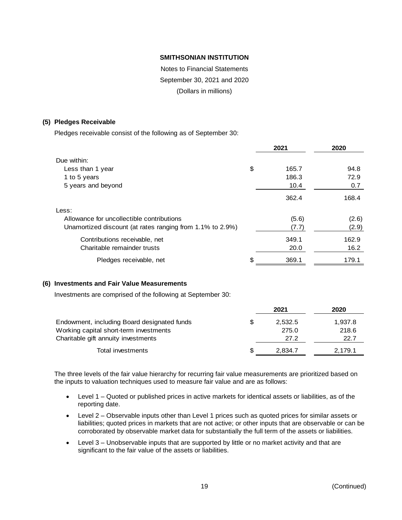Notes to Financial Statements September 30, 2021 and 2020 (Dollars in millions)

# **(5) Pledges Receivable**

Pledges receivable consist of the following as of September 30:

|                                                           | 2021        | 2020  |
|-----------------------------------------------------------|-------------|-------|
| Due within:                                               |             |       |
| Less than 1 year                                          | \$<br>165.7 | 94.8  |
| 1 to 5 years                                              | 186.3       | 72.9  |
| 5 years and beyond                                        | 10.4        | 0.7   |
|                                                           | 362.4       | 168.4 |
| Less:                                                     |             |       |
| Allowance for uncollectible contributions                 | (5.6)       | (2.6) |
| Unamortized discount (at rates ranging from 1.1% to 2.9%) | (7.7)       | (2.9) |
| Contributions receivable, net                             | 349.1       | 162.9 |
| Charitable remainder trusts                               | 20.0        | 16.2  |
| Pledges receivable, net                                   | \$<br>369.1 | 179.1 |

# **(6) Investments and Fair Value Measurements**

Investments are comprised of the following at September 30:

|                                             |     | 2021    | 2020    |
|---------------------------------------------|-----|---------|---------|
| Endowment, including Board designated funds | \$. | 2,532.5 | 1,937.8 |
| Working capital short-term investments      |     | 275.0   | 218.6   |
| Charitable gift annuity investments         |     | 27.2    | 22.7    |
| Total investments                           | S   | 2,834.7 | 2,179.1 |

The three levels of the fair value hierarchy for recurring fair value measurements are prioritized based on the inputs to valuation techniques used to measure fair value and are as follows:

- Level 1 Quoted or published prices in active markets for identical assets or liabilities, as of the reporting date.
- Level 2 Observable inputs other than Level 1 prices such as quoted prices for similar assets or liabilities; quoted prices in markets that are not active; or other inputs that are observable or can be corroborated by observable market data for substantially the full term of the assets or liabilities.
- Level 3 Unobservable inputs that are supported by little or no market activity and that are significant to the fair value of the assets or liabilities.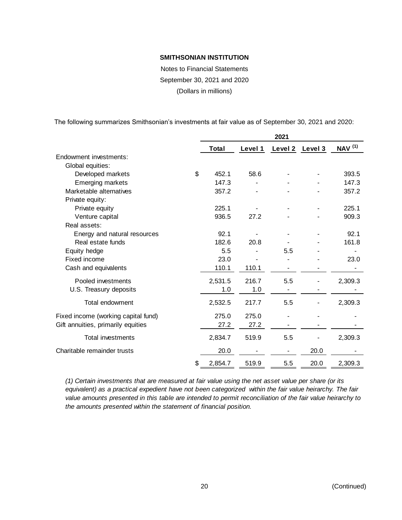Notes to Financial Statements September 30, 2021 and 2020 (Dollars in millions)

The following summarizes Smithsonian's investments at fair value as of September 30, 2021 and 2020:

|                                     | 2021          |         |         |         |                           |  |
|-------------------------------------|---------------|---------|---------|---------|---------------------------|--|
|                                     | <b>Total</b>  | Level 1 | Level 2 | Level 3 | <b>NAV</b> <sup>(1)</sup> |  |
| Endowment investments:              |               |         |         |         |                           |  |
| Global equities:                    |               |         |         |         |                           |  |
| Developed markets                   | \$<br>452.1   | 58.6    |         |         | 393.5                     |  |
| Emerging markets                    | 147.3         |         |         |         | 147.3                     |  |
| Marketable alternatives             | 357.2         |         |         |         | 357.2                     |  |
| Private equity:                     |               |         |         |         |                           |  |
| Private equity                      | 225.1         |         |         |         | 225.1                     |  |
| Venture capital                     | 936.5         | 27.2    |         |         | 909.3                     |  |
| Real assets:                        |               |         |         |         |                           |  |
| Energy and natural resources        | 92.1          |         |         |         | 92.1                      |  |
| Real estate funds                   | 182.6         | 20.8    |         |         | 161.8                     |  |
| Equity hedge                        | 5.5           |         | 5.5     |         |                           |  |
| Fixed income                        | 23.0          |         |         |         | 23.0                      |  |
| Cash and equivalents                | 110.1         | 110.1   |         |         |                           |  |
| Pooled investments                  | 2,531.5       | 216.7   | 5.5     |         | 2,309.3                   |  |
| U.S. Treasury deposits              | 1.0           | 1.0     |         |         |                           |  |
| Total endowment                     | 2,532.5       | 217.7   | 5.5     |         | 2,309.3                   |  |
| Fixed income (working capital fund) | 275.0         | 275.0   |         |         |                           |  |
| Gift annuities, primarily equities  | 27.2          | 27.2    |         |         |                           |  |
| <b>Total investments</b>            | 2,834.7       | 519.9   | 5.5     |         | 2,309.3                   |  |
| Charitable remainder trusts         | 20.0          |         |         | 20.0    |                           |  |
|                                     | \$<br>2,854.7 | 519.9   | 5.5     | 20.0    | 2,309.3                   |  |

*(1) Certain investments that are measured at fair value using the net asset value per share (or its equivalent) as a practical expedient have not been categorized within the fair value heirarchy. The fair value amounts presented in this table are intended to permit reconciliation of the fair value heirarchy to the amounts presented within the statement of financial position.*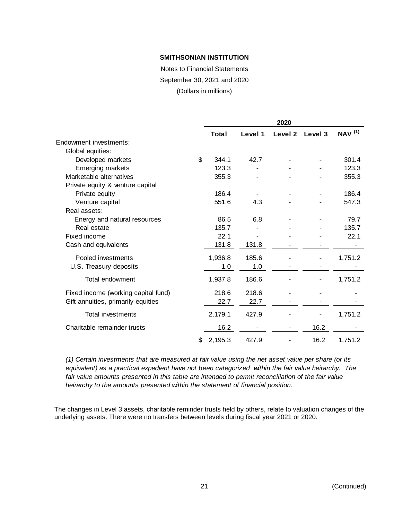Notes to Financial Statements September 30, 2021 and 2020

(Dollars in millions)

|                                     |    |              |         | 2020    |         |                           |
|-------------------------------------|----|--------------|---------|---------|---------|---------------------------|
|                                     |    | <b>Total</b> | Level 1 | Level 2 | Level 3 | <b>NAV</b> <sup>(1)</sup> |
| Endowment investments:              |    |              |         |         |         |                           |
| Global equities:                    |    |              |         |         |         |                           |
| Developed markets                   | \$ | 344.1        | 42.7    |         |         | 301.4                     |
| <b>Emerging markets</b>             |    | 123.3        |         |         |         | 123.3                     |
| Marketable alternatives             |    | 355.3        |         |         |         | 355.3                     |
| Private equity & venture capital    |    |              |         |         |         |                           |
| Private equity                      |    | 186.4        |         |         |         | 186.4                     |
| Venture capital                     |    | 551.6        | 4.3     |         |         | 547.3                     |
| Real assets:                        |    |              |         |         |         |                           |
| Energy and natural resources        |    | 86.5         | 6.8     |         |         | 79.7                      |
| Real estate                         |    | 135.7        |         |         |         | 135.7                     |
| Fixed income                        |    | 22.1         |         |         |         | 22.1                      |
| Cash and equivalents                |    | 131.8        | 131.8   |         |         |                           |
| Pooled investments                  |    | 1,936.8      | 185.6   |         |         | 1,751.2                   |
| U.S. Treasury deposits              |    | 1.0          | 1.0     |         |         |                           |
| Total endowment                     |    | 1,937.8      | 186.6   |         |         | 1,751.2                   |
| Fixed income (working capital fund) |    | 218.6        | 218.6   |         |         |                           |
| Gift annuities, primarily equities  |    | 22.7         | 22.7    |         |         |                           |
| <b>Total investments</b>            |    | 2,179.1      | 427.9   |         |         | 1,751.2                   |
| Charitable remainder trusts         |    | 16.2         |         |         | 16.2    |                           |
|                                     | S  | 2,195.3      | 427.9   |         | 16.2    | 1,751.2                   |
|                                     |    |              |         |         |         |                           |

*(1) Certain investments that are measured at fair value using the net asset value per share (or its equivalent) as a practical expedient have not been categorized within the fair value heirarchy. The fair value amounts presented in this table are intended to permit reconciliation of the fair value heirarchy to the amounts presented within the statement of financial position.*

The changes in Level 3 assets, charitable reminder trusts held by others, relate to valuation changes of the underlying assets. There were no transfers between levels during fiscal year 2021 or 2020.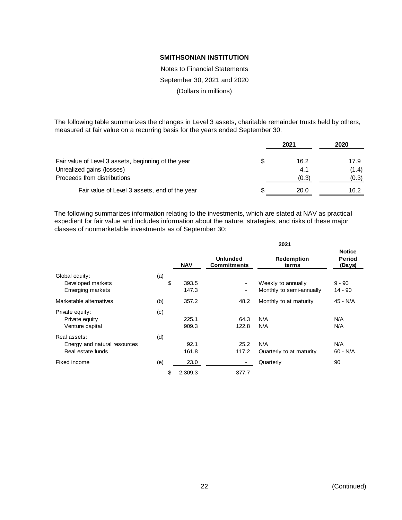Notes to Financial Statements September 30, 2021 and 2020 (Dollars in millions)

The following table summarizes the changes in Level 3 assets, charitable remainder trusts held by others, measured at fair value on a recurring basis for the years ended September 30:

|                                                     |   | 2021  | 2020  |  |
|-----------------------------------------------------|---|-------|-------|--|
| Fair value of Level 3 assets, beginning of the year | S | 16.2  | 17.9  |  |
| Unrealized gains (losses)                           |   | 4.1   | (1.4) |  |
| Proceeds from distributions                         |   | (0.3) | (0.3) |  |
| Fair value of Level 3 assets, end of the year       | S | 20.0  | 16.2  |  |

The following summarizes information relating to the investments, which are stated at NAV as practical expedient for fair value and includes information about the nature, strategies, and risks of these major classes of nonmarketable investments as of September 30:

|                              |     |               |                                       | 2021                     |                                   |
|------------------------------|-----|---------------|---------------------------------------|--------------------------|-----------------------------------|
|                              |     | <b>NAV</b>    | <b>Unfunded</b><br><b>Commitments</b> | Redemption<br>terms      | <b>Notice</b><br>Period<br>(Days) |
| Global equity:               | (a) |               |                                       |                          |                                   |
| Developed markets            |     | \$<br>393.5   | $\overline{\phantom{a}}$              | Weekly to annually       | $9 - 90$                          |
| <b>Emerging markets</b>      |     | 147.3         | $\overline{\phantom{a}}$              | Monthly to semi-annually | 14 - 90                           |
| Marketable alternatives      | (b) | 357.2         | 48.2                                  | Monthly to at maturity   | 45 - N/A                          |
| Private equity:              | (c) |               |                                       |                          |                                   |
| Private equity               |     | 225.1         | 64.3                                  | N/A                      | N/A                               |
| Venture capital              |     | 909.3         | 122.8                                 | N/A                      | N/A                               |
| Real assets:                 | (d) |               |                                       |                          |                                   |
| Energy and natural resources |     | 92.1          | 25.2                                  | N/A                      | N/A                               |
| Real estate funds            |     | 161.8         | 117.2                                 | Quarterly to at maturity | 60 - N/A                          |
| Fixed income                 | (e) | 23.0          | $\blacksquare$                        | Quarterly                | 90                                |
|                              |     | 2,309.3<br>\$ | 377.7                                 |                          |                                   |
|                              |     |               |                                       |                          |                                   |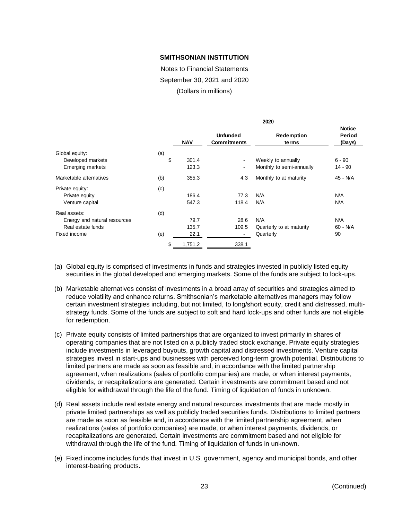Notes to Financial Statements September 30, 2021 and 2020

(Dollars in millions)

|                              |     | 2020       |                                       |                            |                                   |  |  |
|------------------------------|-----|------------|---------------------------------------|----------------------------|-----------------------------------|--|--|
|                              |     | <b>NAV</b> | <b>Unfunded</b><br><b>Commitments</b> | <b>Redemption</b><br>terms | <b>Notice</b><br>Period<br>(Days) |  |  |
| Global equity:               | (a) |            |                                       |                            |                                   |  |  |
| Developed markets            | \$  | 301.4      |                                       | Weekly to annually         | $6 - 90$                          |  |  |
| <b>Emerging markets</b>      |     | 123.3      | ۰.                                    | Monthly to semi-annually   | $14 - 90$                         |  |  |
| Marketable alternatives      | (b) | 355.3      | 4.3                                   | Monthly to at maturity     | 45 - N/A                          |  |  |
| Private equity:              | (c) |            |                                       |                            |                                   |  |  |
| Private equity               |     | 186.4      | 77.3                                  | N/A                        | N/A                               |  |  |
| Venture capital              |     | 547.3      | 118.4                                 | N/A                        | N/A                               |  |  |
| Real assets:                 | (d) |            |                                       |                            |                                   |  |  |
| Energy and natural resources |     | 79.7       | 28.6                                  | N/A                        | N/A                               |  |  |
| Real estate funds            |     | 135.7      | 109.5                                 | Quarterly to at maturity   | $60 - N/A$                        |  |  |
| Fixed income                 | (e) | 22.1       | $\sim$                                | Quarterly                  | 90                                |  |  |
|                              | \$  | 1,751.2    | 338.1                                 |                            |                                   |  |  |
|                              |     |            |                                       |                            |                                   |  |  |

- (a) Global equity is comprised of investments in funds and strategies invested in publicly listed equity securities in the global developed and emerging markets. Some of the funds are subject to lock-ups.
- (b) Marketable alternatives consist of investments in a broad array of securities and strategies aimed to reduce volatility and enhance returns. Smithsonian's marketable alternatives managers may follow certain investment strategies including, but not limited, to long/short equity, credit and distressed, multistrategy funds. Some of the funds are subject to soft and hard lock-ups and other funds are not eligible for redemption.
- (c) Private equity consists of limited partnerships that are organized to invest primarily in shares of operating companies that are not listed on a publicly traded stock exchange. Private equity strategies include investments in leveraged buyouts, growth capital and distressed investments. Venture capital strategies invest in start-ups and businesses with perceived long-term growth potential. Distributions to limited partners are made as soon as feasible and, in accordance with the limited partnership agreement, when realizations (sales of portfolio companies) are made, or when interest payments, dividends, or recapitalizations are generated. Certain investments are commitment based and not eligible for withdrawal through the life of the fund. Timing of liquidation of funds in unknown.
- (d) Real assets include real estate energy and natural resources investments that are made mostly in private limited partnerships as well as publicly traded securities funds. Distributions to limited partners are made as soon as feasible and, in accordance with the limited partnership agreement, when realizations (sales of portfolio companies) are made, or when interest payments, dividends, or recapitalizations are generated. Certain investments are commitment based and not eligible for withdrawal through the life of the fund. Timing of liquidation of funds in unknown.
- (e) Fixed income includes funds that invest in U.S. government, agency and municipal bonds, and other interest-bearing products.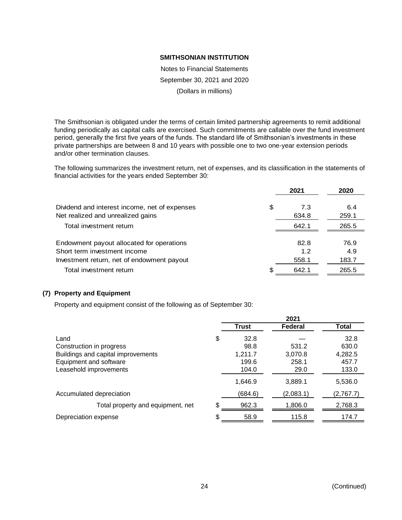Notes to Financial Statements September 30, 2021 and 2020 (Dollars in millions)

The Smithsonian is obligated under the terms of certain limited partnership agreements to remit additional funding periodically as capital calls are exercised. Such commitments are callable over the fund investment period, generally the first five years of the funds. The standard life of Smithsonian's investments in these private partnerships are between 8 and 10 years with possible one to two one-year extension periods and/or other termination clauses.

The following summarizes the investment return, net of expenses, and its classification in the statements of financial activities for the years ended September 30:

|                                                                                                                         |    | 2021                 | 2020                 |
|-------------------------------------------------------------------------------------------------------------------------|----|----------------------|----------------------|
| Dividend and interest income, net of expenses<br>Net realized and unrealized gains                                      | \$ | 7.3<br>634.8         | 6.4<br>259.1         |
| Total investment return                                                                                                 |    | 642.1                | 265.5                |
| Endowment payout allocated for operations<br>Short term investment income<br>Investment return, net of endowment payout |    | 82.8<br>1.2<br>558.1 | 76.9<br>4.9<br>183.7 |
| Total investment return                                                                                                 | S  | 642.1                | 265.5                |

# **(7) Property and Equipment**

Property and equipment consist of the following as of September 30:

|                                    | 2021       |           |           |  |  |
|------------------------------------|------------|-----------|-----------|--|--|
|                                    | Trust      | Federal   | Total     |  |  |
| Land                               | \$<br>32.8 |           | 32.8      |  |  |
| Construction in progress           | 98.8       | 531.2     | 630.0     |  |  |
| Buildings and capital improvements | 1,211.7    | 3,070.8   | 4,282.5   |  |  |
| Equipment and software             | 199.6      | 258.1     | 457.7     |  |  |
| Leasehold improvements             | 104.0      | 29.0      | 133.0     |  |  |
|                                    | 1,646.9    | 3,889.1   | 5,536.0   |  |  |
| Accumulated depreciation           | (684.6)    | (2,083.1) | (2,767.7) |  |  |
| Total property and equipment, net  | 962.3      | 1,806.0   | 2,768.3   |  |  |
| Depreciation expense               | \$<br>58.9 | 115.8     | 174.7     |  |  |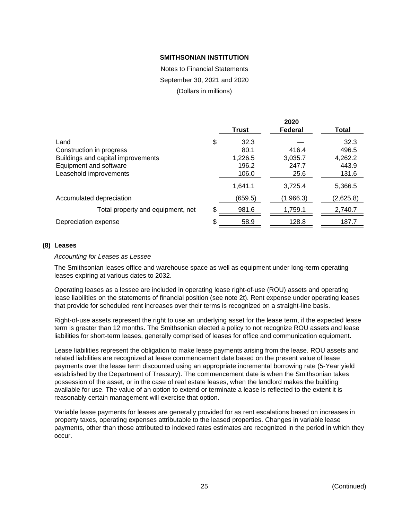Notes to Financial Statements September 30, 2021 and 2020

(Dollars in millions)

|                                    |              | 2020           |              |
|------------------------------------|--------------|----------------|--------------|
|                                    | <b>Trust</b> | <b>Federal</b> | <b>Total</b> |
| Land                               | \$<br>32.3   |                | 32.3         |
| Construction in progress           | 80.1         | 416.4          | 496.5        |
| Buildings and capital improvements | 1,226.5      | 3,035.7        | 4,262.2      |
| Equipment and software             | 196.2        | 247.7          | 443.9        |
| Leasehold improvements             | 106.0        | 25.6           | 131.6        |
|                                    | 1,641.1      | 3,725.4        | 5,366.5      |
| Accumulated depreciation           | (659.5)      | (1,966.3)      | (2,625.8)    |
| Total property and equipment, net  | \$<br>981.6  | 1,759.1        | 2,740.7      |
| Depreciation expense               | \$<br>58.9   | 128.8          | 187.7        |

# **(8) Leases**

#### *Accounting for Leases as Lessee*

The Smithsonian leases office and warehouse space as well as equipment under long-term operating leases expiring at various dates to 2032.

Operating leases as a lessee are included in operating lease right-of-use (ROU) assets and operating lease liabilities on the statements of financial position (see note 2t). Rent expense under operating leases that provide for scheduled rent increases over their terms is recognized on a straight-line basis.

Right-of-use assets represent the right to use an underlying asset for the lease term, if the expected lease term is greater than 12 months. The Smithsonian elected a policy to not recognize ROU assets and lease liabilities for short-term leases, generally comprised of leases for office and communication equipment.

Lease liabilities represent the obligation to make lease payments arising from the lease. ROU assets and related liabilities are recognized at lease commencement date based on the present value of lease payments over the lease term discounted using an appropriate incremental borrowing rate (5-Year yield established by the Department of Treasury). The commencement date is when the Smithsonian takes possession of the asset, or in the case of real estate leases, when the landlord makes the building available for use. The value of an option to extend or terminate a lease is reflected to the extent it is reasonably certain management will exercise that option.

Variable lease payments for leases are generally provided for as rent escalations based on increases in property taxes, operating expenses attributable to the leased properties. Changes in variable lease payments, other than those attributed to indexed rates estimates are recognized in the period in which they occur.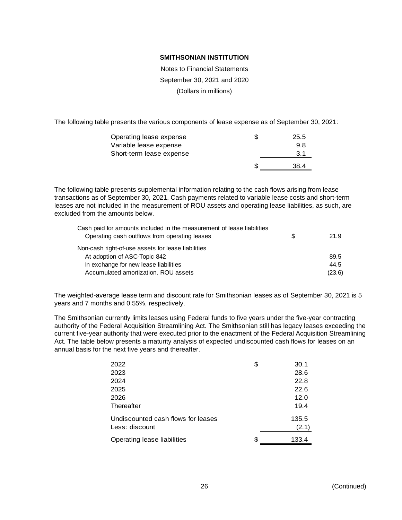Notes to Financial Statements September 30, 2021 and 2020 (Dollars in millions)

The following table presents the various components of lease expense as of September 30, 2021:

| Operating lease expense  | 25.5 |
|--------------------------|------|
| Variable lease expense   | 9.8  |
| Short-term lease expense | 3.1  |
|                          | 38.4 |

The following table presents supplemental information relating to the cash flows arising from lease transactions as of September 30, 2021. Cash payments related to variable lease costs and short-term leases are not included in the measurement of ROU assets and operating lease liabilities, as such, are excluded from the amounts below.

| Cash paid for amounts included in the measurement of lease liabilities |   |        |
|------------------------------------------------------------------------|---|--------|
| Operating cash outflows from operating leases                          | S | 21.9   |
| Non-cash right-of-use assets for lease liabilities                     |   |        |
| At adoption of ASC-Topic 842                                           |   | 89.5   |
| In exchange for new lease liabilities                                  |   | 44.5   |
| Accumulated amortization, ROU assets                                   |   | (23.6) |

The weighted-average lease term and discount rate for Smithsonian leases as of September 30, 2021 is 5 years and 7 months and 0.55%, respectively.

The Smithsonian currently limits leases using Federal funds to five years under the five-year contracting authority of the Federal Acquisition Streamlining Act. The Smithsonian still has legacy leases exceeding the current five-year authority that were executed prior to the enactment of the Federal Acquisition Streamlining Act. The table below presents a maturity analysis of expected undiscounted cash flows for leases on an annual basis for the next five years and thereafter.

| 2022                               | \$ | 30.1  |
|------------------------------------|----|-------|
| 2023                               |    | 28.6  |
| 2024                               |    | 22.8  |
| 2025                               |    | 22.6  |
| 2026                               |    | 12.0  |
| Thereafter                         |    | 19.4  |
| Undiscounted cash flows for leases |    | 135.5 |
| Less: discount                     |    | (2.1) |
| Operating lease liabilities        | S  | 133.4 |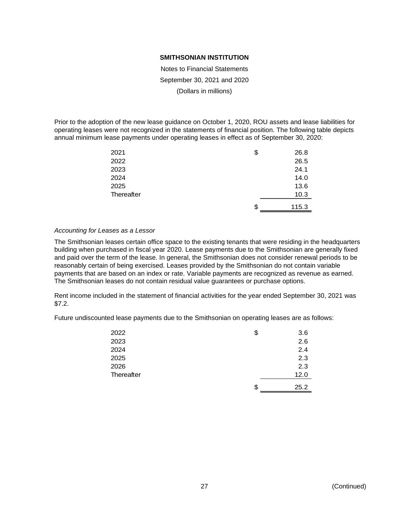Notes to Financial Statements September 30, 2021 and 2020 (Dollars in millions)

Prior to the adoption of the new lease guidance on October 1, 2020, ROU assets and lease liabilities for operating leases were not recognized in the statements of financial position. The following table depicts annual minimum lease payments under operating leases in effect as of September 30, 2020:

| 2021       | \$<br>26.8  |
|------------|-------------|
| 2022       | 26.5        |
| 2023       | 24.1        |
| 2024       | 14.0        |
| 2025       | 13.6        |
| Thereafter | 10.3        |
|            | \$<br>115.3 |

# *Accounting for Leases as a Lessor*

The Smithsonian leases certain office space to the existing tenants that were residing in the headquarters building when purchased in fiscal year 2020. Lease payments due to the Smithsonian are generally fixed and paid over the term of the lease. In general, the Smithsonian does not consider renewal periods to be reasonably certain of being exercised. Leases provided by the Smithsonian do not contain variable payments that are based on an index or rate. Variable payments are recognized as revenue as earned. The Smithsonian leases do not contain residual value guarantees or purchase options.

Rent income included in the statement of financial activities for the year ended September 30, 2021 was \$7.2.

Future undiscounted lease payments due to the Smithsonian on operating leases are as follows:

| 2022       | \$<br>3.6  |
|------------|------------|
| 2023       | 2.6        |
| 2024       | 2.4        |
| 2025       | 2.3        |
| 2026       | 2.3        |
| Thereafter | 12.0       |
|            | \$<br>25.2 |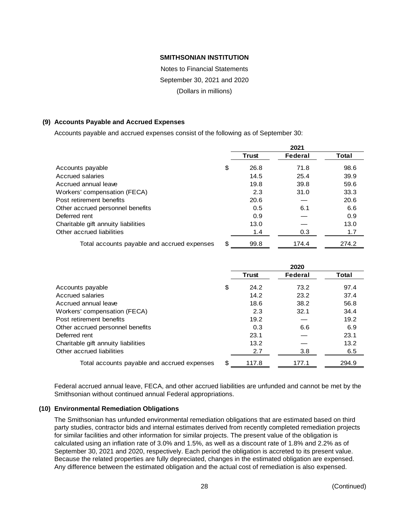Notes to Financial Statements September 30, 2021 and 2020 (Dollars in millions)

# **(9) Accounts Payable and Accrued Expenses**

Accounts payable and accrued expenses consist of the following as of September 30:

|                                             | 2021       |         |       |  |
|---------------------------------------------|------------|---------|-------|--|
|                                             | Trust      | Federal | Total |  |
| Accounts payable                            | \$<br>26.8 | 71.8    | 98.6  |  |
| Accrued salaries                            | 14.5       | 25.4    | 39.9  |  |
| Accrued annual leave                        | 19.8       | 39.8    | 59.6  |  |
| Workers' compensation (FECA)                | 2.3        | 31.0    | 33.3  |  |
| Post retirement benefits                    | 20.6       |         | 20.6  |  |
| Other accrued personnel benefits            | 0.5        | 6.1     | 6.6   |  |
| Deferred rent                               | 0.9        |         | 0.9   |  |
| Charitable gift annuity liabilities         | 13.0       |         | 13.0  |  |
| Other accrued liabilities                   | 1.4        | 0.3     | 1.7   |  |
| Total accounts payable and accrued expenses | \$<br>99.8 | 174.4   | 274.2 |  |

|                                             |    |              | 2020    |       |
|---------------------------------------------|----|--------------|---------|-------|
|                                             |    | <b>Trust</b> | Federal | Total |
| Accounts payable                            | \$ | 24.2         | 73.2    | 97.4  |
| Accrued salaries                            |    | 14.2         | 23.2    | 37.4  |
| Accrued annual leave                        |    | 18.6         | 38.2    | 56.8  |
| Workers' compensation (FECA)                |    | 2.3          | 32.1    | 34.4  |
| Post retirement benefits                    |    | 19.2         |         | 19.2  |
| Other accrued personnel benefits            |    | 0.3          | 6.6     | 6.9   |
| Deferred rent                               |    | 23.1         |         | 23.1  |
| Charitable gift annuity liabilities         |    | 13.2         |         | 13.2  |
| Other accrued liabilities                   |    | 2.7          | 3.8     | 6.5   |
| Total accounts payable and accrued expenses | S  | 117.8        | 177.1   | 294.9 |

Federal accrued annual leave, FECA, and other accrued liabilities are unfunded and cannot be met by the Smithsonian without continued annual Federal appropriations.

# **(10) Environmental Remediation Obligations**

The Smithsonian has unfunded environmental remediation obligations that are estimated based on third party studies, contractor bids and internal estimates derived from recently completed remediation projects for similar facilities and other information for similar projects. The present value of the obligation is calculated using an inflation rate of 3.0% and 1.5%, as well as a discount rate of 1.8% and 2.2% as of September 30, 2021 and 2020, respectively. Each period the obligation is accreted to its present value. Because the related properties are fully depreciated, changes in the estimated obligation are expensed. Any difference between the estimated obligation and the actual cost of remediation is also expensed.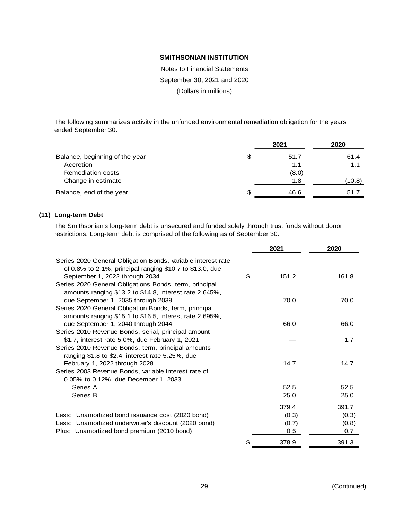Notes to Financial Statements September 30, 2021 and 2020 (Dollars in millions)

The following summarizes activity in the unfunded environmental remediation obligation for the years ended September 30:

|                                |   | 2021  | 2020   |
|--------------------------------|---|-------|--------|
| Balance, beginning of the year | S | 51.7  | 61.4   |
| Accretion                      |   | 1.1   | 1.1    |
| <b>Remediation costs</b>       |   | (8.0) |        |
| Change in estimate             |   | 1.8   | (10.8) |
| Balance, end of the year       | S | 46.6  | 51.7   |

# **(11) Long-term Debt**

The Smithsonian's long-term debt is unsecured and funded solely through trust funds without donor restrictions. Long-term debt is comprised of the following as of September 30:

|                                                                                                                                                           | 2021        | 2020  |
|-----------------------------------------------------------------------------------------------------------------------------------------------------------|-------------|-------|
| Series 2020 General Obligation Bonds, variable interest rate<br>of 0.8% to 2.1%, principal ranging $$10.7$ to $$13.0$ , due                               |             |       |
| September 1, 2022 through 2034<br>Series 2020 General Obligations Bonds, term, principal<br>amounts ranging \$13.2 to \$14.8, interest rate 2.645%,       | \$<br>151.2 | 161.8 |
| due September 1, 2035 through 2039<br>Series 2020 General Obligation Bonds, term, principal<br>amounts ranging \$15.1 to \$16.5, interest rate 2.695%,    | 70.0        | 70.0  |
| due September 1, 2040 through 2044<br>Series 2010 Revenue Bonds, serial, principal amount                                                                 | 66.0        | 66.0  |
| \$1.7, interest rate 5.0%, due February 1, 2021<br>Series 2010 Revenue Bonds, term, principal amounts<br>ranging \$1.8 to \$2.4, interest rate 5.25%, due |             | 1.7   |
| February 1, 2022 through 2028<br>Series 2003 Revenue Bonds, variable interest rate of<br>0.05% to 0.12%, due December 1, 2033                             | 14.7        | 14.7  |
| Series A                                                                                                                                                  | 52.5        | 52.5  |
| Series B                                                                                                                                                  | 25.0        | 25.0  |
|                                                                                                                                                           | 379.4       | 391.7 |
| Less: Unamortized bond issuance cost (2020 bond)                                                                                                          | (0.3)       | (0.3) |
| Less: Unamortized underwriter's discount (2020 bond)                                                                                                      | (0.7)       | (0.8) |
| Plus: Unamortized bond premium (2010 bond)                                                                                                                | 0.5         | 0.7   |
|                                                                                                                                                           | \$<br>378.9 | 391.3 |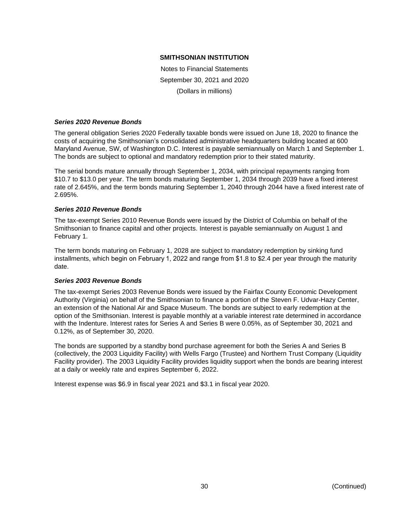Notes to Financial Statements September 30, 2021 and 2020 (Dollars in millions)

#### *Series 2020 Revenue Bonds*

The general obligation Series 2020 Federally taxable bonds were issued on June 18, 2020 to finance the costs of acquiring the Smithsonian's consolidated administrative headquarters building located at 600 Maryland Avenue, SW, of Washington D.C. Interest is payable semiannually on March 1 and September 1. The bonds are subject to optional and mandatory redemption prior to their stated maturity.

The serial bonds mature annually through September 1, 2034, with principal repayments ranging from \$10.7 to \$13.0 per year. The term bonds maturing September 1, 2034 through 2039 have a fixed interest rate of 2.645%, and the term bonds maturing September 1, 2040 through 2044 have a fixed interest rate of 2.695%.

# *Series 2010 Revenue Bonds*

The tax-exempt Series 2010 Revenue Bonds were issued by the District of Columbia on behalf of the Smithsonian to finance capital and other projects. Interest is payable semiannually on August 1 and February 1.

The term bonds maturing on February 1, 2028 are subject to mandatory redemption by sinking fund installments, which begin on February 1, 2022 and range from \$1.8 to \$2.4 per year through the maturity date.

# *Series 2003 Revenue Bonds*

The tax-exempt Series 2003 Revenue Bonds were issued by the Fairfax County Economic Development Authority (Virginia) on behalf of the Smithsonian to finance a portion of the Steven F. Udvar-Hazy Center, an extension of the National Air and Space Museum. The bonds are subject to early redemption at the option of the Smithsonian. Interest is payable monthly at a variable interest rate determined in accordance with the Indenture. Interest rates for Series A and Series B were 0.05%, as of September 30, 2021 and 0.12%, as of September 30, 2020.

The bonds are supported by a standby bond purchase agreement for both the Series A and Series B (collectively, the 2003 Liquidity Facility) with Wells Fargo (Trustee) and Northern Trust Company (Liquidity Facility provider). The 2003 Liquidity Facility provides liquidity support when the bonds are bearing interest at a daily or weekly rate and expires September 6, 2022.

Interest expense was \$6.9 in fiscal year 2021 and \$3.1 in fiscal year 2020.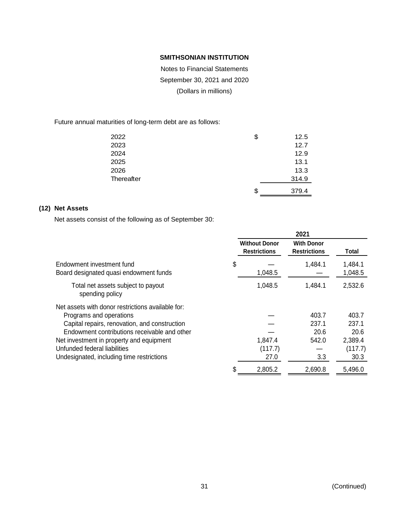Notes to Financial Statements September 30, 2021 and 2020 (Dollars in millions)

Future annual maturities of long-term debt are as follows:

| 2022       | \$ | 12.5  |
|------------|----|-------|
| 2023       |    | 12.7  |
| 2024       |    | 12.9  |
| 2025       |    | 13.1  |
| 2026       |    | 13.3  |
| Thereafter |    | 314.9 |
|            | S  | 379.4 |

# **(12) Net Assets**

Net assets consist of the following as of September 30:

|                                                                     |                                             | 2021                                     |                    |
|---------------------------------------------------------------------|---------------------------------------------|------------------------------------------|--------------------|
|                                                                     | <b>Without Donor</b><br><b>Restrictions</b> | <b>With Donor</b><br><b>Restrictions</b> | Total              |
| Endowment investment fund<br>Board designated quasi endowment funds | \$<br>1,048.5                               | 1,484.1                                  | 1,484.1<br>1,048.5 |
| Total net assets subject to payout<br>spending policy               | 1,048.5                                     | 1,484.1                                  | 2,532.6            |
| Net assets with donor restrictions available for:                   |                                             |                                          |                    |
| Programs and operations                                             |                                             | 403.7                                    | 403.7              |
| Capital repairs, renovation, and construction                       |                                             | 237.1                                    | 237.1              |
| Endowment contributions receivable and other                        |                                             | 20.6                                     | 20.6               |
| Net investment in property and equipment                            | 1,847.4                                     | 542.0                                    | 2,389.4            |
| Unfunded federal liabilities                                        | (117.7)                                     |                                          | (117.7)            |
| Undesignated, including time restrictions                           | 27.0                                        | 3.3                                      | 30.3               |
|                                                                     | \$<br>2,805.2                               | 2,690.8                                  | 5,496.0            |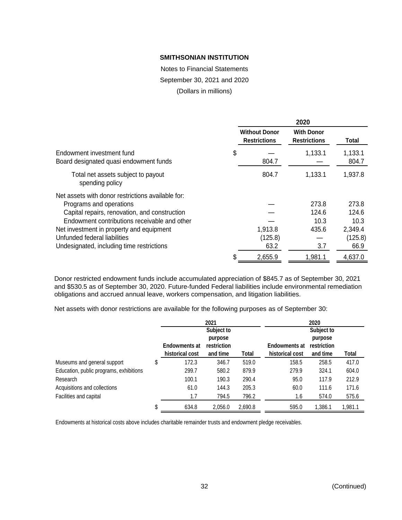Notes to Financial Statements September 30, 2021 and 2020

(Dollars in millions)

|                                                                                                                                                                                                                           |                                             | 2020                                     |                                   |
|---------------------------------------------------------------------------------------------------------------------------------------------------------------------------------------------------------------------------|---------------------------------------------|------------------------------------------|-----------------------------------|
|                                                                                                                                                                                                                           | <b>Without Donor</b><br><b>Restrictions</b> | <b>With Donor</b><br><b>Restrictions</b> | Total                             |
| Endowment investment fund<br>Board designated quasi endowment funds                                                                                                                                                       | \$<br>804.7                                 | 1,133.1                                  | 1,133.1<br>804.7                  |
| Total net assets subject to payout<br>spending policy                                                                                                                                                                     | 804.7                                       | 1,133.1                                  | 1,937.8                           |
| Net assets with donor restrictions available for:<br>Programs and operations<br>Capital repairs, renovation, and construction<br>Endowment contributions receivable and other<br>Net investment in property and equipment | 1,913.8                                     | 273.8<br>124.6<br>10.3<br>435.6          | 273.8<br>124.6<br>10.3<br>2,349.4 |
| Unfunded federal liabilities<br>Undesignated, including time restrictions                                                                                                                                                 | (125.8)<br>63.2                             | 3.7                                      | (125.8)<br>66.9                   |
|                                                                                                                                                                                                                           | 2,655.9                                     | 1,981.1                                  | 4,637.0                           |

Donor restricted endowment funds include accumulated appreciation of \$845.7 as of September 30, 2021 and \$530.5 as of September 30, 2020. Future-funded Federal liabilities include environmental remediation obligations and accrued annual leave, workers compensation, and litigation liabilities.

Net assets with donor restrictions are available for the following purposes as of September 30:

|                                         |                      | 2021        |         |                      | 2020        |         |
|-----------------------------------------|----------------------|-------------|---------|----------------------|-------------|---------|
|                                         |                      | Subject to  |         |                      | Subject to  |         |
|                                         |                      | purpose     |         |                      | purpose     |         |
|                                         | <b>Endowments at</b> | restriction |         | <b>Endowments at</b> | restriction |         |
|                                         | historical cost      | and time    | Total   | historical cost      | and time    | Total   |
| Museums and general support             | \$<br>172.3          | 346.7       | 519.0   | 158.5                | 258.5       | 417.0   |
| Education, public programs, exhibitions | 299.7                | 580.2       | 879.9   | 279.9                | 324.1       | 604.0   |
| Research                                | 100.1                | 190.3       | 290.4   | 95.0                 | 117.9       | 212.9   |
| Acquisitions and collections            | 61.0                 | 144.3       | 205.3   | 60.0                 | 111.6       | 171.6   |
| Facilities and capital                  | 1.7                  | 794.5       | 796.2   | 1.6                  | 574.0       | 575.6   |
|                                         | \$<br>634.8          | 2,056.0     | 2,690.8 | 595.0                | 1,386.1     | 1,981.1 |

Endowments at historical costs above includes charitable remainder trusts and endowment pledge receivables.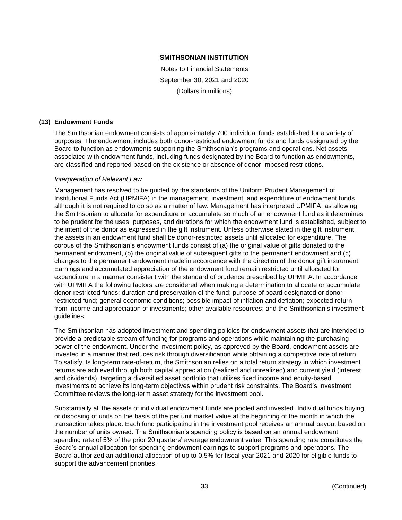Notes to Financial Statements September 30, 2021 and 2020 (Dollars in millions)

# **(13) Endowment Funds**

The Smithsonian endowment consists of approximately 700 individual funds established for a variety of purposes. The endowment includes both donor-restricted endowment funds and funds designated by the Board to function as endowments supporting the Smithsonian's programs and operations. Net assets associated with endowment funds, including funds designated by the Board to function as endowments, are classified and reported based on the existence or absence of donor-imposed restrictions.

# *Interpretation of Relevant Law*

Management has resolved to be guided by the standards of the Uniform Prudent Management of Institutional Funds Act (UPMIFA) in the management, investment, and expenditure of endowment funds although it is not required to do so as a matter of law. Management has interpreted UPMIFA, as allowing the Smithsonian to allocate for expenditure or accumulate so much of an endowment fund as it determines to be prudent for the uses, purposes, and durations for which the endowment fund is established, subject to the intent of the donor as expressed in the gift instrument. Unless otherwise stated in the gift instrument, the assets in an endowment fund shall be donor-restricted assets until allocated for expenditure. The corpus of the Smithsonian's endowment funds consist of (a) the original value of gifts donated to the permanent endowment, (b) the original value of subsequent gifts to the permanent endowment and (c) changes to the permanent endowment made in accordance with the direction of the donor gift instrument. Earnings and accumulated appreciation of the endowment fund remain restricted until allocated for expenditure in a manner consistent with the standard of prudence prescribed by UPMIFA. In accordance with UPMIFA the following factors are considered when making a determination to allocate or accumulate donor-restricted funds: duration and preservation of the fund; purpose of board designated or donorrestricted fund; general economic conditions; possible impact of inflation and deflation; expected return from income and appreciation of investments; other available resources; and the Smithsonian's investment guidelines.

The Smithsonian has adopted investment and spending policies for endowment assets that are intended to provide a predictable stream of funding for programs and operations while maintaining the purchasing power of the endowment. Under the investment policy, as approved by the Board, endowment assets are invested in a manner that reduces risk through diversification while obtaining a competitive rate of return. To satisfy its long-term rate-of-return, the Smithsonian relies on a total return strategy in which investment returns are achieved through both capital appreciation (realized and unrealized) and current yield (interest and dividends), targeting a diversified asset portfolio that utilizes fixed income and equity-based investments to achieve its long-term objectives within prudent risk constraints. The Board's Investment Committee reviews the long-term asset strategy for the investment pool.

Substantially all the assets of individual endowment funds are pooled and invested. Individual funds buying or disposing of units on the basis of the per unit market value at the beginning of the month in which the transaction takes place. Each fund participating in the investment pool receives an annual payout based on the number of units owned. The Smithsonian's spending policy is based on an annual endowment spending rate of 5% of the prior 20 quarters' average endowment value. This spending rate constitutes the Board's annual allocation for spending endowment earnings to support programs and operations. The Board authorized an additional allocation of up to 0.5% for fiscal year 2021 and 2020 for eligible funds to support the advancement priorities.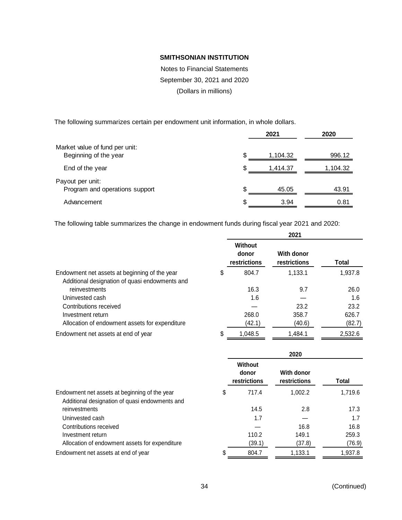Notes to Financial Statements September 30, 2021 and 2020 (Dollars in millions)

The following summarizes certain per endowment unit information, in whole dollars.

|                                                         |    | 2021     | 2020     |
|---------------------------------------------------------|----|----------|----------|
| Market value of fund per unit:<br>Beginning of the year |    | 1.104.32 | 996.12   |
| End of the year                                         | S. | 1,414.37 | 1,104.32 |
| Payout per unit:<br>Program and operations support      | £. | 45.05    | 43.91    |
| Advancement                                             | S. | 3.94     | 0.81     |

The following table summarizes the change in endowment funds during fiscal year 2021 and 2020:

|                                                | 2021                                    |                            |              |  |
|------------------------------------------------|-----------------------------------------|----------------------------|--------------|--|
|                                                | <b>Without</b><br>donor<br>restrictions | With donor<br>restrictions | <b>Total</b> |  |
| Endowment net assets at beginning of the year  | \$<br>804.7                             | 1,133.1                    | 1,937.8      |  |
| Additional designation of quasi endowments and |                                         |                            |              |  |
| reinvestments                                  | 16.3                                    | 9.7                        | 26.0         |  |
| Uninvested cash                                | 1.6                                     |                            | 1.6          |  |
| Contributions received                         |                                         | 23.2                       | 23.2         |  |
| Investment return                              | 268.0                                   | 358.7                      | 626.7        |  |
| Allocation of endowment assets for expenditure | (42.1)                                  | (40.6)                     | (82.7)       |  |
| Endowment net assets at end of year            | \$<br>1,048.5                           | 1,484.1                    | 2,532.6      |  |

|                                                                                                 | 2020 |                                  |                                   |         |
|-------------------------------------------------------------------------------------------------|------|----------------------------------|-----------------------------------|---------|
|                                                                                                 |      | Without<br>donor<br>restrictions | <b>With donor</b><br>restrictions | Total   |
| Endowment net assets at beginning of the year<br>Additional designation of quasi endowments and | \$   | 717.4                            | 1,002.2                           | 1,719.6 |
| reinvestments                                                                                   |      | 14.5                             | 2.8                               | 17.3    |
| Uninvested cash                                                                                 |      | 1.7                              |                                   | 1.7     |
| Contributions received                                                                          |      |                                  | 16.8                              | 16.8    |
| Investment return                                                                               |      | 110.2                            | 149.1                             | 259.3   |
| Allocation of endowment assets for expenditure                                                  |      | (39.1)                           | (37.8)                            | (76.9)  |
| Endowment net assets at end of year                                                             | S    | 804.7                            | 1,133.1                           | 1,937.8 |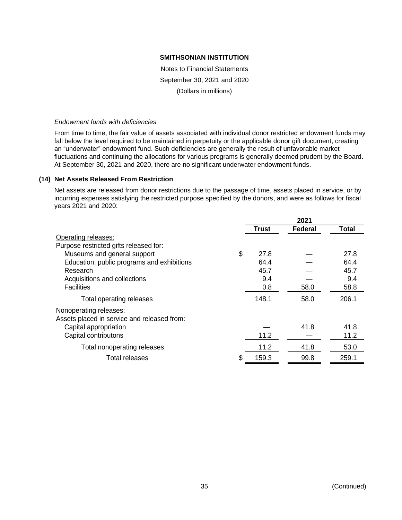Notes to Financial Statements September 30, 2021 and 2020 (Dollars in millions)

#### *Endowment funds with deficiencies*

From time to time, the fair value of assets associated with individual donor restricted endowment funds may fall below the level required to be maintained in perpetuity or the applicable donor gift document, creating an "underwater" endowment fund. Such deficiencies are generally the result of unfavorable market fluctuations and continuing the allocations for various programs is generally deemed prudent by the Board. At September 30, 2021 and 2020, there are no significant underwater endowment funds.

# **(14) Net Assets Released From Restriction**

Net assets are released from donor restrictions due to the passage of time, assets placed in service, or by incurring expenses satisfying the restricted purpose specified by the donors, and were as follows for fiscal years 2021 and 2020:

|                                             |              | 2021    |              |
|---------------------------------------------|--------------|---------|--------------|
|                                             | <b>Trust</b> | Federal | <b>Total</b> |
| Operating releases:                         |              |         |              |
| Purpose restricted gifts released for:      |              |         |              |
| Museums and general support                 | \$<br>27.8   |         | 27.8         |
| Education, public programs and exhibitions  | 64.4         |         | 64.4         |
| Research                                    | 45.7         |         | 45.7         |
| Acquisitions and collections                | 9.4          |         | 9.4          |
| <b>Facilities</b>                           | 0.8          | 58.0    | 58.8         |
| Total operating releases                    | 148.1        | 58.0    | 206.1        |
| Nonoperating releases:                      |              |         |              |
| Assets placed in service and released from: |              |         |              |
| Capital appropriation                       |              | 41.8    | 41.8         |
| Capital contributons                        | 11.2         |         | 11.2         |
| Total nonoperating releases                 | 11.2         | 41.8    | 53.0         |
| <b>Total releases</b>                       | 159.3        | 99.8    | 259.1        |
|                                             |              |         |              |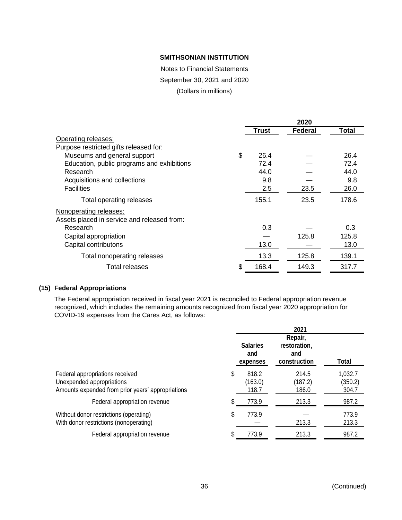Notes to Financial Statements

September 30, 2021 and 2020

(Dollars in millions)

|                                             |       | 2020    |              |
|---------------------------------------------|-------|---------|--------------|
|                                             | Trust | Federal | <b>Total</b> |
| Operating releases:                         |       |         |              |
| Purpose restricted gifts released for:      |       |         |              |
| \$<br>Museums and general support           | 26.4  |         | 26.4         |
| Education, public programs and exhibitions  | 72.4  |         | 72.4         |
| Research                                    | 44.0  |         | 44.0         |
| Acquisitions and collections                | 9.8   |         | 9.8          |
| <b>Facilities</b>                           | 2.5   | 23.5    | 26.0         |
| Total operating releases                    | 155.1 | 23.5    | 178.6        |
| Nonoperating releases:                      |       |         |              |
| Assets placed in service and released from: |       |         |              |
| Research                                    | 0.3   |         | 0.3          |
| Capital appropriation                       |       | 125.8   | 125.8        |
| Capital contributons                        | 13.0  |         | 13.0         |
| Total nonoperating releases                 | 13.3  | 125.8   | 139.1        |
| \$<br>Total releases                        | 168.4 | 149.3   | 317.7        |

# **(15) Federal Appropriations**

The Federal appropriation received in fiscal year 2021 is reconciled to Federal appropriation revenue recognized, which includes the remaining amounts recognized from fiscal year 2020 appropriation for COVID-19 expenses from the Cares Act, as follows:

|                                                                                                                   |                                    | 2021                                           |                             |
|-------------------------------------------------------------------------------------------------------------------|------------------------------------|------------------------------------------------|-----------------------------|
|                                                                                                                   | <b>Salaries</b><br>and<br>expenses | Repair,<br>restoration,<br>and<br>construction | Total                       |
| Federal appropriations received<br>Unexpended appropriations<br>Amounts expended from prior years' appropriations | \$<br>818.2<br>(163.0)<br>118.7    | 214.5<br>(187.2)<br>186.0                      | 1,032.7<br>(350.2)<br>304.7 |
| Federal appropriation revenue                                                                                     | 773.9                              | 213.3                                          | 987.2                       |
| Without donor restrictions (operating)<br>With donor restrictions (nonoperating)                                  | \$<br>773.9                        | 213.3                                          | 773.9<br>213.3              |
| Federal appropriation revenue                                                                                     | 773.9                              | 213.3                                          | 987.2                       |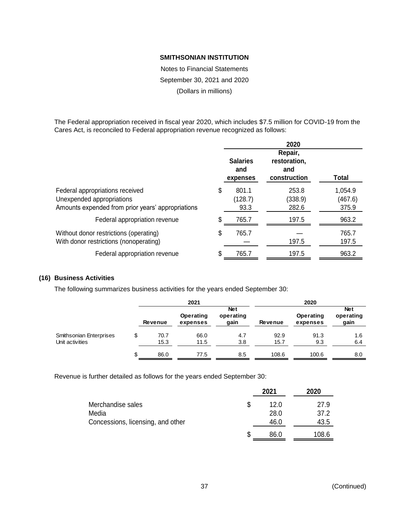Notes to Financial Statements September 30, 2021 and 2020 (Dollars in millions)

The Federal appropriation received in fiscal year 2020, which includes \$7.5 million for COVID-19 from the Cares Act, is reconciled to Federal appropriation revenue recognized as follows:

|                                                                                                                   |    | 2020                               |                                                |                             |  |  |
|-------------------------------------------------------------------------------------------------------------------|----|------------------------------------|------------------------------------------------|-----------------------------|--|--|
|                                                                                                                   |    | <b>Salaries</b><br>and<br>expenses | Repair,<br>restoration,<br>and<br>construction | <b>Total</b>                |  |  |
| Federal appropriations received<br>Unexpended appropriations<br>Amounts expended from prior years' appropriations |    | 801.1<br>(128.7)<br>93.3           | 253.8<br>(338.9)<br>282.6                      | 1,054.9<br>(467.6)<br>375.9 |  |  |
| Federal appropriation revenue                                                                                     | \$ | 765.7                              | 197.5                                          | 963.2                       |  |  |
| Without donor restrictions (operating)<br>With donor restrictions (nonoperating)                                  | \$ | 765.7                              | 197.5                                          | 765.7<br>197.5              |  |  |
| Federal appropriation revenue                                                                                     | \$ | 765.7                              | 197.5                                          | 963.2                       |  |  |

# **(16) Business Activities**

The following summarizes business activities for the years ended September 30:

|                                            |     |                | 2021                  |                                 | 2020           |                       |                                 |  |
|--------------------------------------------|-----|----------------|-----------------------|---------------------------------|----------------|-----------------------|---------------------------------|--|
|                                            |     | <b>Revenue</b> | Operating<br>expenses | <b>Net</b><br>operating<br>gain | <b>Revenue</b> | Operating<br>expenses | <b>Net</b><br>operating<br>gain |  |
| Smithsonian Enterprises<br>Unit activities | \$  | 70.7<br>15.3   | 66.0<br>11.5          | 4.7<br>3.8                      | 92.9<br>15.7   | 91.3<br>9.3           | 1.6<br>6.4                      |  |
|                                            | \$. | 86.0           | 77.5                  | 8.5                             | 108.6          | 100.6                 | 8.0                             |  |

Revenue is further detailed as follows for the years ended September 30:

|                                   |   | 2021 | 2020  |
|-----------------------------------|---|------|-------|
| Merchandise sales                 | S | 12.0 | 27.9  |
| Media                             |   | 28.0 | 37.2  |
| Concessions, licensing, and other |   | 46.0 | 43.5  |
|                                   | S | 86.0 | 108.6 |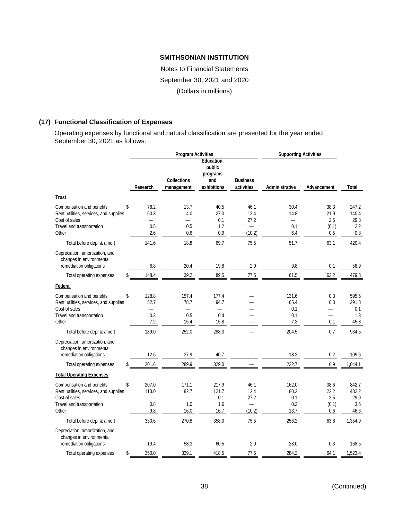Notes to Financial Statements September 30, 2021 and 2020 (Dollars in millions)

# **(17) Functional Classification of Expenses**

Operating expenses by functional and natural classification are presented for the year ended September 30, 2021 as follows:

|                                                                                                                             |                                                               | <b>Program Activities</b>                                |                                                        | <b>Supporting Activities</b>                               |                                                        |                                               |                                          |
|-----------------------------------------------------------------------------------------------------------------------------|---------------------------------------------------------------|----------------------------------------------------------|--------------------------------------------------------|------------------------------------------------------------|--------------------------------------------------------|-----------------------------------------------|------------------------------------------|
|                                                                                                                             | Research                                                      | <b>Collections</b><br>management                         | Education,<br>public<br>programs<br>and<br>exhibitions | <b>Business</b><br>activities                              | Administrative                                         | Advancement                                   | Total                                    |
| <b>Trust</b>                                                                                                                |                                                               |                                                          |                                                        |                                                            |                                                        |                                               |                                          |
| Compensation and benefits<br>Rent, utilities, services, and supplies<br>Cost of sales<br>Travel and transportation<br>Other | \$<br>78.2<br>60.3<br>0.5<br>2.6                              | 13.7<br>4.0<br>$\overline{\phantom{0}}$<br>0.5<br>0.6    | 40.5<br>27.0<br>0.1<br>1.2<br>0.9                      | 46.1<br>12.4<br>27.2<br>(10.2)                             | 30.4<br>14.8<br>$\overline{\phantom{0}}$<br>0.1<br>6.4 | 38.3<br>21.9<br>2.5<br>(0.1)<br>0.5           | 247.2<br>140.4<br>29.8<br>2.2<br>$0.8\,$ |
| Total before depr & amort                                                                                                   | 141.6                                                         | 18.8                                                     | 69.7                                                   | 75.5                                                       | 51.7                                                   | 63.1                                          | 420.4                                    |
| Depreciation, amortization, and<br>changes in environmental<br>remediation obligations                                      | 6.8                                                           | 20.4                                                     | 19.8                                                   | 2.0                                                        | 9.8                                                    | 0.1                                           | 58.9                                     |
| Total operating expenses                                                                                                    | \$<br>148.4                                                   | 39.2                                                     | 89.5                                                   | 77.5                                                       | 61.5                                                   | 63.2                                          | 479.3                                    |
| Federal                                                                                                                     |                                                               |                                                          |                                                        |                                                            |                                                        |                                               |                                          |
| Compensation and benefits<br>Rent, utilities, services, and supplies<br>Cost of sales<br>Travel and transportation<br>Other | \$<br>128.8<br>52.7<br>$\overline{\phantom{0}}$<br>0.3<br>7.2 | 157.4<br>78.7<br>$\overline{\phantom{0}}$<br>0.5<br>15.4 | 177.4<br>94.7<br>0.4<br>15.8                           |                                                            | 131.6<br>65.4<br>0.1<br>0.1<br>7.3                     | 0.3<br>0.3<br>$\overline{\phantom{0}}$<br>0.1 | 595.5<br>291.8<br>0.1<br>1.3<br>45.8     |
| Total before depr & amort                                                                                                   | 189.0                                                         | 252.0                                                    | 288.3                                                  |                                                            | 204.5                                                  | 0.7                                           | 934.5                                    |
| Depreciation, amortization, and<br>changes in environmental<br>remediation obligations                                      | 12.6                                                          | 37.9                                                     | 40.7                                                   |                                                            | 18.2                                                   | 0.2                                           | 109.6                                    |
| Total operating expenses                                                                                                    | \$<br>201.6                                                   | 289.9                                                    | 329.0                                                  |                                                            | 222.7                                                  | $0.9\,$                                       | 1,044.1                                  |
| <b>Total Operating Expenses</b>                                                                                             |                                                               |                                                          |                                                        |                                                            |                                                        |                                               |                                          |
| Compensation and benefits<br>Rent, utilities, services, and supplies<br>Cost of sales<br>Travel and transportation<br>Other | \$<br>207.0<br>113.0<br>—<br>0.8<br>9.8                       | 171.1<br>82.7<br>—<br>1.0<br>16.0                        | 217.9<br>121.7<br>0.1<br>1.6<br>16.7                   | 46.1<br>12.4<br>27.2<br>$\overline{\phantom{0}}$<br>(10.2) | 162.0<br>80.2<br>0.1<br>0.2<br>13.7                    | 38.6<br>22.2<br>2.5<br>(0.1)<br>0.6           | 842.7<br>432.2<br>29.9<br>3.5<br>46.6    |
| Total before depr & amort                                                                                                   | 330.6                                                         | 270.8                                                    | 358.0                                                  | 75.5                                                       | 256.2                                                  | 63.8                                          | 1,354.9                                  |
| Depreciation, amortization, and<br>changes in environmental<br>remediation obligations                                      | 19.4                                                          | 58.3                                                     | 60.5                                                   | 2.0                                                        | 28.0                                                   | 0.3                                           | 168.5                                    |
| Total operating expenses                                                                                                    | \$<br>350.0                                                   | 329.1                                                    | 418.5                                                  | 77.5                                                       | 284.2                                                  | 64.1                                          | 1,523.4                                  |
|                                                                                                                             |                                                               |                                                          |                                                        |                                                            |                                                        |                                               |                                          |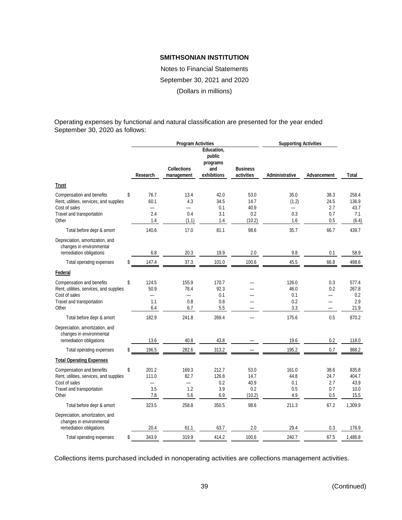Notes to Financial Statements September 30, 2021 and 2020 (Dollars in millions)

Operating expenses by functional and natural classification are presented for the year ended September 30, 2020 as follows:

|                                                                                                                             |                                                               | <b>Program Activities</b>                               |                                                        | <b>Supporting Activities</b>          |                                    |                                        |                                        |
|-----------------------------------------------------------------------------------------------------------------------------|---------------------------------------------------------------|---------------------------------------------------------|--------------------------------------------------------|---------------------------------------|------------------------------------|----------------------------------------|----------------------------------------|
|                                                                                                                             | Research                                                      | <b>Collections</b><br>management                        | Education,<br>public<br>programs<br>and<br>exhibitions | <b>Business</b><br>activities         | Administrative                     | Advancement                            | Total                                  |
| <b>Trust</b>                                                                                                                |                                                               |                                                         |                                                        |                                       |                                    |                                        |                                        |
| Compensation and benefits<br>Rent, utilities, services, and supplies<br>Cost of sales<br>Travel and transportation<br>Other | \$<br>76.7<br>60.1<br>2.4<br>1.4                              | 13.4<br>4.3<br>0.4<br>(1.1)                             | 42.0<br>34.5<br>0.1<br>3.1<br>1.4                      | 53.0<br>14.7<br>40.9<br>0.2<br>(10.2) | 35.0<br>(1.2)<br>0.3<br>1.6        | 38.3<br>24.5<br>2.7<br>0.7<br>0.5      | 258.4<br>136.9<br>43.7<br>7.1<br>(6.4) |
| Total before depr & amort                                                                                                   | 140.6                                                         | 17.0                                                    | 81.1                                                   | 98.6                                  | 35.7                               | 66.7                                   | 439.7                                  |
| Depreciation, amortization, and<br>changes in environmental<br>remediation obligations                                      | 6.8                                                           | 20.3                                                    | 19.9                                                   | 2.0                                   | 9.8                                | 0.1                                    | 58.9                                   |
| Total operating expenses                                                                                                    | \$<br>147.4                                                   | 37.3                                                    | 101.0                                                  | 100.6                                 | 45.5                               | 66.8                                   | 498.6                                  |
| Federal                                                                                                                     |                                                               |                                                         |                                                        |                                       |                                    |                                        |                                        |
| Compensation and benefits<br>Rent, utilities, services, and supplies<br>Cost of sales<br>Travel and transportation<br>Other | \$<br>124.5<br>50.9<br>$\overline{\phantom{0}}$<br>1.1<br>6.4 | 155.9<br>78.4<br>$\overline{\phantom{0}}$<br>0.8<br>6.7 | 170.7<br>92.3<br>0.1<br>0.8<br>5.5                     |                                       | 126.0<br>46.0<br>0.1<br>0.2<br>3.3 | 0.3<br>0.2<br>$\overline{\phantom{0}}$ | 577.4<br>267.8<br>0.2<br>2.9<br>21.9   |
| Total before depr & amort                                                                                                   | 182.9                                                         | 241.8                                                   | 269.4                                                  |                                       | 175.6                              | 0.5                                    | 870.2                                  |
| Depreciation, amortization, and<br>changes in environmental<br>remediation obligations                                      | 13.6                                                          | 40.8                                                    | 43.8                                                   |                                       | 19.6                               | 0.2                                    | 118.0                                  |
| Total operating expenses                                                                                                    | \$<br>196.5                                                   | 282.6                                                   | 313.2                                                  |                                       | 195.2                              | 0.7                                    | 988.2                                  |
| <b>Total Operating Expenses</b>                                                                                             |                                                               |                                                         |                                                        |                                       |                                    |                                        |                                        |
| Compensation and benefits<br>Rent, utilities, services, and supplies<br>Cost of sales<br>Travel and transportation<br>Other | \$<br>201.2<br>111.0<br>3.5<br>7.8                            | 169.3<br>82.7<br>1.2<br>5.6                             | 212.7<br>126.8<br>0.2<br>3.9<br>6.9                    | 53.0<br>14.7<br>40.9<br>0.2<br>(10.2) | 161.0<br>44.8<br>0.1<br>0.5<br>4.9 | 38.6<br>24.7<br>2.7<br>0.7<br>0.5      | 835.8<br>404.7<br>43.9<br>10.0<br>15.5 |
| Total before depr & amort                                                                                                   | 323.5                                                         | 258.8                                                   | 350.5                                                  | 98.6                                  | 211.3                              | 67.2                                   | 1,309.9                                |
| Depreciation, amortization, and<br>changes in environmental<br>remediation obligations                                      | 20.4                                                          | 61.1                                                    | 63.7                                                   | 2.0                                   | 29.4                               | 0.3                                    | 176.9                                  |
| Total operating expenses                                                                                                    | \$<br>343.9                                                   | 319.9                                                   | 414.2                                                  | 100.6                                 | 240.7                              | 67.5                                   | 1,486.8                                |

Collections items purchased included in nonoperating activities are collections management activities.